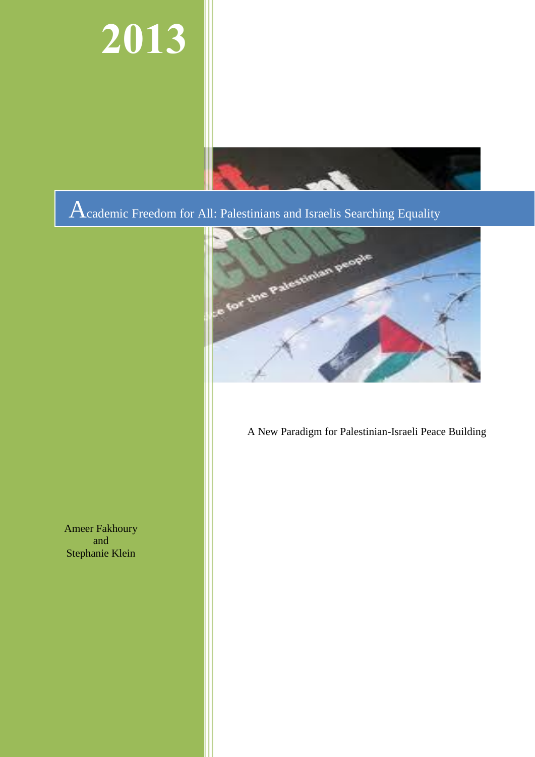# **2013**



Academic Freedom for All: Palestinians and Israelis Searching Equality



A New Paradigm for Palestinian-Israeli Peace Building

Ameer Fakhoury and Stephanie Klein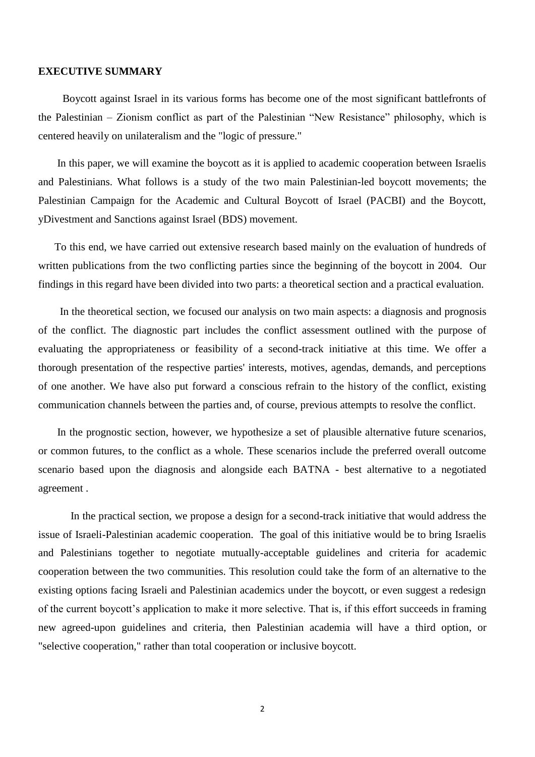#### **EXECUTIVE SUMMARY**

 Boycott against Israel in its various forms has become one of the most significant battlefronts of the Palestinian – Zionism conflict as part of the Palestinian "New Resistance" philosophy, which is centered heavily on unilateralism and the "logic of pressure."

 In this paper, we will examine the boycott as it is applied to academic cooperation between Israelis and Palestinians. What follows is a study of the two main Palestinian-led boycott movements; the Palestinian Campaign for the Academic and Cultural Boycott of Israel (PACBI) and the Boycott, yDivestment and Sanctions against Israel (BDS) movement.

 To this end, we have carried out extensive research based mainly on the evaluation of hundreds of written publications from the two conflicting parties since the beginning of the boycott in 2004. Our findings in this regard have been divided into two parts: a theoretical section and a practical evaluation.

 In the theoretical section, we focused our analysis on two main aspects: a diagnosis and prognosis of the conflict. The diagnostic part includes the conflict assessment outlined with the purpose of evaluating the appropriateness or feasibility of a second-track initiative at this time. We offer a thorough presentation of the respective parties' interests, motives, agendas, demands, and perceptions of one another. We have also put forward a conscious refrain to the history of the conflict, existing communication channels between the parties and, of course, previous attempts to resolve the conflict.

 In the prognostic section, however, we hypothesize a set of plausible alternative future scenarios, or common futures, to the conflict as a whole. These scenarios include the preferred overall outcome scenario based upon the diagnosis and alongside each BATNA - best alternative to a negotiated agreement .

In the practical section, we propose a design for a second-track initiative that would address the issue of Israeli-Palestinian academic cooperation. The goal of this initiative would be to bring Israelis and Palestinians together to negotiate mutually-acceptable guidelines and criteria for academic cooperation between the two communities. This resolution could take the form of an alternative to the existing options facing Israeli and Palestinian academics under the boycott, or even suggest a redesign of the current boycott's application to make it more selective. That is, if this effort succeeds in framing new agreed-upon guidelines and criteria, then Palestinian academia will have a third option, or "selective cooperation," rather than total cooperation or inclusive boycott.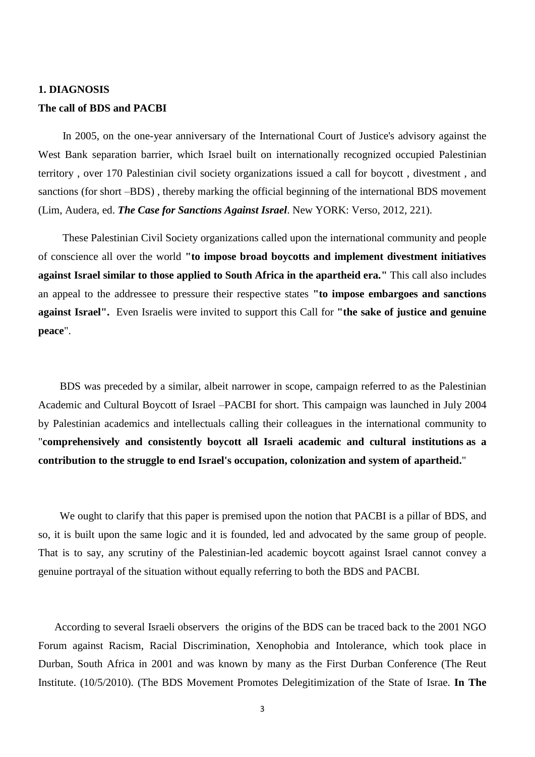#### **1. DIAGNOSIS**

#### **The call of BDS and PACBI**

 In 2005, on the one-year anniversary of the International Court of Justice's advisory against the West Bank separation barrier, which Israel built on internationally recognized occupied Palestinian territory , over 170 Palestinian civil society organizations issued a call for boycott , divestment , and sanctions (for short –BDS) , thereby marking the official beginning of the international BDS movement (Lim, Audera, ed. *The Case for Sanctions Against Israel*. New YORK: Verso, 2012, 221).

 These Palestinian Civil Society organizations called upon the international community and people of conscience all over the world **"to impose broad boycotts and implement divestment initiatives against Israel similar to those applied to South Africa in the apartheid era."** This call also includes an appeal to the addressee to pressure their respective states **"to impose embargoes and sanctions against Israel".** Even Israelis were invited to support this Call for **"the sake of justice and genuine peace**".

 BDS was preceded by a similar, albeit narrower in scope, campaign referred to as the Palestinian Academic and Cultural Boycott of Israel –PACBI for short. This campaign was launched in July 2004 by Palestinian academics and intellectuals calling their colleagues in the international community to "**comprehensively and consistently boycott all Israeli academic and cultural institutions as a contribution to the struggle to end Israel's occupation, colonization and system of apartheid.**"

We ought to clarify that this paper is premised upon the notion that PACBI is a pillar of BDS, and so, it is built upon the same logic and it is founded, led and advocated by the same group of people. That is to say, any scrutiny of the Palestinian-led academic boycott against Israel cannot convey a genuine portrayal of the situation without equally referring to both the BDS and PACBI.

 According to several Israeli observers the origins of the BDS can be traced back to the 2001 NGO Forum against Racism, Racial Discrimination, Xenophobia and Intolerance, which took place in Durban, South Africa in 2001 and was known by many as the First Durban Conference (The Reut Institute. (10/5/2010). (The BDS Movement Promotes Delegitimization of the State of Israe. **In The**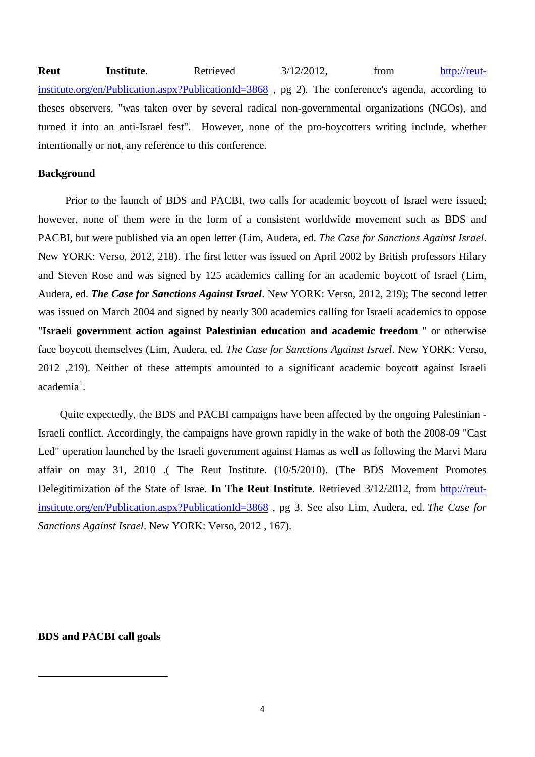**Reut Institute.** Retrieved 3/12/2012, from [http://reut](http://reut-institute.org/en/Publication.aspx?PublicationId=3868)[institute.org/en/Publication.aspx?PublicationId=3868](http://reut-institute.org/en/Publication.aspx?PublicationId=3868) , pg 2). The conference's agenda, according to theses observers, "was taken over by several radical non-governmental organizations (NGOs), and turned it into an anti-Israel fest". However, none of the pro-boycotters writing include, whether intentionally or not, any reference to this conference.

## **Background**

 Prior to the launch of BDS and PACBI, two calls for academic boycott of Israel were issued; however, none of them were in the form of a consistent worldwide movement such as BDS and PACBI, but were published via an open letter (Lim, Audera, ed. *The Case for Sanctions Against Israel*. New YORK: Verso, 2012, 218). The first letter was issued on April 2002 by British professors Hilary and Steven Rose and was signed by 125 academics calling for an academic boycott of Israel (Lim, Audera, ed. *The Case for Sanctions Against Israel*. New YORK: Verso, 2012, 219); The second letter was issued on March 2004 and signed by nearly 300 academics calling for Israeli academics to oppose "**Israeli government action against Palestinian education and academic freedom** " or otherwise face boycott themselves (Lim, Audera, ed. *The Case for Sanctions Against Israel*. New YORK: Verso, 2012 ,219). Neither of these attempts amounted to a significant academic boycott against Israeli academia<sup>1</sup>.

Quite expectedly, the BDS and PACBI campaigns have been affected by the ongoing Palestinian - Israeli conflict. Accordingly, the campaigns have grown rapidly in the wake of both the 2008-09 "Cast Led" operation launched by the Israeli government against Hamas as well as following the Marvi Mara affair on may 31, 2010 .( The Reut Institute. (10/5/2010). (The BDS Movement Promotes Delegitimization of the State of Israe. **In The Reut Institute**. Retrieved 3/12/2012, from [http://reut](http://reut-institute.org/en/Publication.aspx?PublicationId=3868)[institute.org/en/Publication.aspx?PublicationId=3868](http://reut-institute.org/en/Publication.aspx?PublicationId=3868) , pg 3. See also Lim, Audera, ed. *The Case for Sanctions Against Israel*. New YORK: Verso, 2012 , 167).

# **BDS and PACBI call goals**

 $\overline{a}$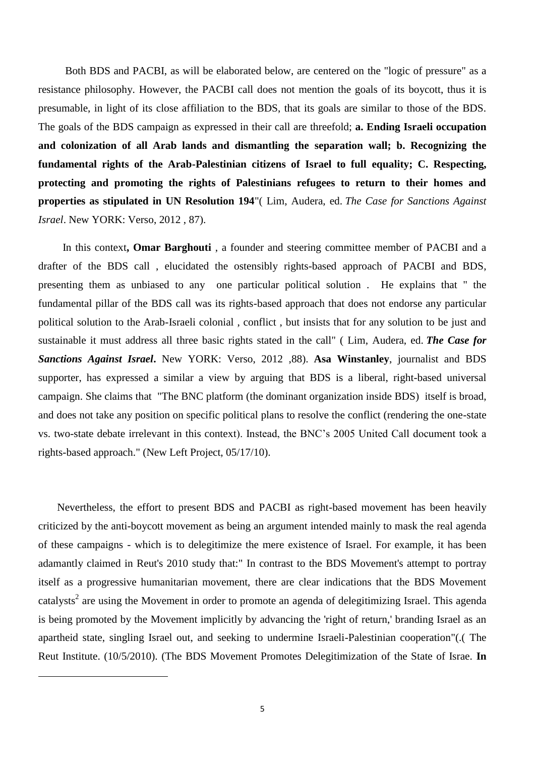Both BDS and PACBI, as will be elaborated below, are centered on the "logic of pressure" as a resistance philosophy. However, the PACBI call does not mention the goals of its boycott, thus it is presumable, in light of its close affiliation to the BDS, that its goals are similar to those of the BDS. The goals of the BDS campaign as expressed in their call are threefold; **a. Ending Israeli occupation and colonization of all Arab lands and dismantling the separation wall; b. Recognizing the fundamental rights of the Arab-Palestinian citizens of Israel to full equality; C. Respecting, protecting and promoting the rights of Palestinians refugees to return to their homes and properties as stipulated in UN Resolution 194**"( Lim, Audera, ed. *The Case for Sanctions Against Israel*. New YORK: Verso, 2012 , 87).

In this context**, Omar Barghouti** , a founder and steering committee member of PACBI and a drafter of the BDS call , elucidated the ostensibly rights-based approach of PACBI and BDS, presenting them as unbiased to any one particular political solution . He explains that " the fundamental pillar of the BDS call was its rights-based approach that does not endorse any particular political solution to the Arab-Israeli colonial , conflict , but insists that for any solution to be just and sustainable it must address all three basic rights stated in the call" ( Lim, Audera, ed. *The Case for Sanctions Against Israel***.** New YORK: Verso, 2012 ,88). **Asa Winstanley**, journalist and BDS supporter, has expressed a similar a view by arguing that BDS is a liberal, right-based universal campaign. She claims that "The BNC platform (the dominant organization inside BDS) itself is broad, and does not take any position on specific political plans to resolve the conflict (rendering the one-state vs. two-state debate irrelevant in this context). Instead, the BNC's 2005 United Call document took a rights-based approach." (New Left Project, 05/17/10).

 Nevertheless, the effort to present BDS and PACBI as right-based movement has been heavily criticized by the anti-boycott movement as being an argument intended mainly to mask the real agenda of these campaigns - which is to delegitimize the mere existence of Israel. For example, it has been adamantly claimed in Reut's 2010 study that:" In contrast to the BDS Movement's attempt to portray itself as a progressive humanitarian movement, there are clear indications that the BDS Movement catalysts<sup>2</sup> are using the Movement in order to promote an agenda of delegitimizing Israel. This agenda is being promoted by the Movement implicitly by advancing the 'right of return,' branding Israel as an apartheid state, singling Israel out, and seeking to undermine Israeli-Palestinian cooperation"(.( The Reut Institute. (10/5/2010). (The BDS Movement Promotes Delegitimization of the State of Israe. **In**

 $\overline{a}$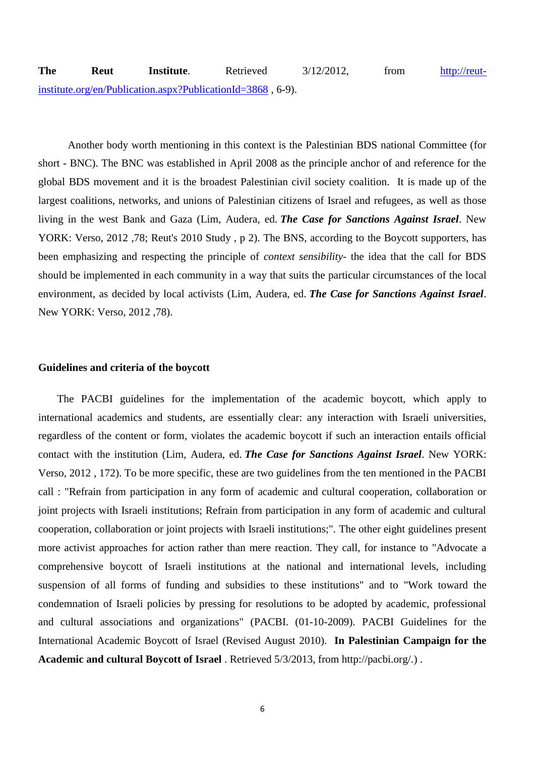Another body worth mentioning in this context is the Palestinian BDS national Committee (for short - BNC). The BNC was established in April 2008 as the principle anchor of and reference for the global BDS movement and it is the broadest Palestinian civil society coalition. It is made up of the largest coalitions, networks, and unions of Palestinian citizens of Israel and refugees, as well as those living in the west Bank and Gaza (Lim, Audera, ed. *The Case for Sanctions Against Israel*. New YORK: Verso, 2012 ,78; Reut's 2010 Study , p 2). The BNS, according to the Boycott supporters, has been emphasizing and respecting the principle of *context sensibility*- the idea that the call for BDS should be implemented in each community in a way that suits the particular circumstances of the local environment, as decided by local activists (Lim, Audera, ed. *The Case for Sanctions Against Israel*. New YORK: Verso, 2012 ,78).

## **Guidelines and criteria of the boycott**

 The PACBI guidelines for the implementation of the academic boycott, which apply to international academics and students, are essentially clear: any interaction with Israeli universities, regardless of the content or form, violates the academic boycott if such an interaction entails official contact with the institution (Lim, Audera, ed. *The Case for Sanctions Against Israel*. New YORK: Verso, 2012 , 172). To be more specific, these are two guidelines from the ten mentioned in the PACBI call : "Refrain from participation in any form of academic and cultural cooperation, collaboration or joint projects with Israeli institutions; Refrain from participation in any form of academic and cultural cooperation, collaboration or joint projects with Israeli institutions;". The other eight guidelines present more activist approaches for action rather than mere reaction. They call, for instance to "Advocate a comprehensive boycott of Israeli institutions at the national and international levels, including suspension of all forms of funding and subsidies to these institutions" and to "Work toward the condemnation of Israeli policies by pressing for resolutions to be adopted by academic, professional and cultural associations and organizations" (PACBI. (01-10-2009). PACBI Guidelines for the International Academic Boycott of Israel (Revised August 2010). **In Palestinian Campaign for the Academic and cultural Boycott of Israel** . Retrieved 5/3/2013, from http://pacbi.org/.) .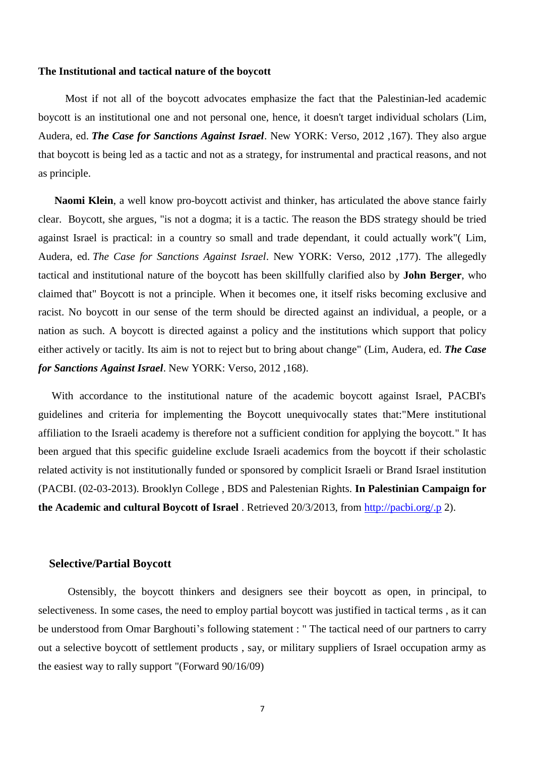#### **The Institutional and tactical nature of the boycott**

 Most if not all of the boycott advocates emphasize the fact that the Palestinian-led academic boycott is an institutional one and not personal one, hence, it doesn't target individual scholars (Lim, Audera, ed. *The Case for Sanctions Against Israel*. New YORK: Verso, 2012 ,167). They also argue that boycott is being led as a tactic and not as a strategy, for instrumental and practical reasons, and not as principle.

 **Naomi Klein**, a well know pro-boycott activist and thinker, has articulated the above stance fairly clear. Boycott, she argues, "is not a dogma; it is a tactic. The reason the BDS strategy should be tried against Israel is practical: in a country so small and trade dependant, it could actually work"( Lim, Audera, ed. *The Case for Sanctions Against Israel*. New YORK: Verso, 2012 ,177). The allegedly tactical and institutional nature of the boycott has been skillfully clarified also by **John Berger**, who claimed that" Boycott is not a principle. When it becomes one, it itself risks becoming exclusive and racist. No boycott in our sense of the term should be directed against an individual, a people, or a nation as such. A boycott is directed against a policy and the institutions which support that policy either actively or tacitly. Its aim is not to reject but to bring about change" (Lim, Audera, ed. *The Case for Sanctions Against Israel*. New YORK: Verso, 2012 ,168).

 With accordance to the institutional nature of the academic boycott against Israel, PACBI's guidelines and criteria for implementing the Boycott unequivocally states that:"Mere institutional affiliation to the Israeli academy is therefore not a sufficient condition for applying the boycott." It has been argued that this specific guideline exclude Israeli academics from the boycott if their scholastic related activity is not institutionally funded or sponsored by complicit Israeli or Brand Israel institution (PACBI. (02-03-2013). Brooklyn College , BDS and Palestenian Rights. **In Palestinian Campaign for the Academic and cultural Boycott of Israel** . Retrieved 20/3/2013, from<http://pacbi.org/.p> 2).

## **Selective/Partial Boycott**

 Ostensibly, the boycott thinkers and designers see their boycott as open, in principal, to selectiveness. In some cases, the need to employ partial boycott was justified in tactical terms , as it can be understood from Omar Barghouti's following statement : " The tactical need of our partners to carry out a selective boycott of settlement products , say, or military suppliers of Israel occupation army as the easiest way to rally support "(Forward 90/16/09)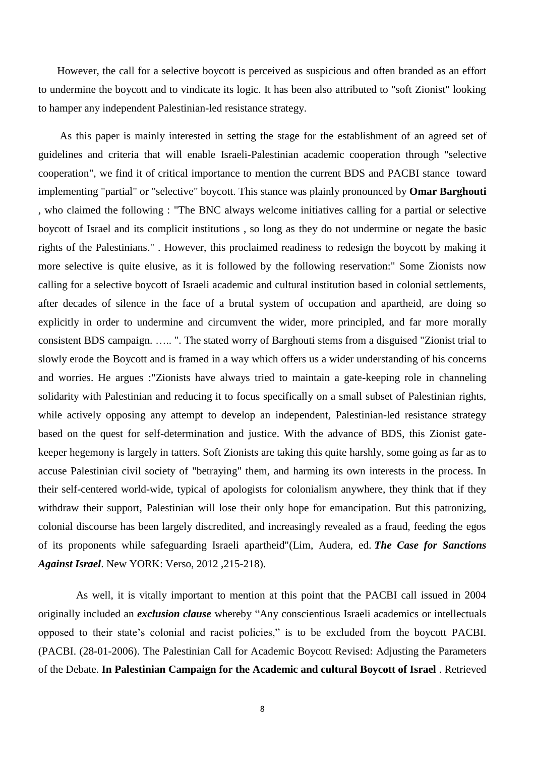However, the call for a selective boycott is perceived as suspicious and often branded as an effort to undermine the boycott and to vindicate its logic. It has been also attributed to "soft Zionist" looking to hamper any independent Palestinian-led resistance strategy.

 As this paper is mainly interested in setting the stage for the establishment of an agreed set of guidelines and criteria that will enable Israeli-Palestinian academic cooperation through "selective cooperation", we find it of critical importance to mention the current BDS and PACBI stance toward implementing "partial" or "selective" boycott. This stance was plainly pronounced by **Omar Barghouti** , who claimed the following : "The BNC always welcome initiatives calling for a partial or selective boycott of Israel and its complicit institutions , so long as they do not undermine or negate the basic rights of the Palestinians." . However, this proclaimed readiness to redesign the boycott by making it more selective is quite elusive, as it is followed by the following reservation:" Some Zionists now calling for a selective boycott of Israeli academic and cultural institution based in colonial settlements, after decades of silence in the face of a brutal system of occupation and apartheid, are doing so explicitly in order to undermine and circumvent the wider, more principled, and far more morally consistent BDS campaign. ….. ". The stated worry of Barghouti stems from a disguised "Zionist trial to slowly erode the Boycott and is framed in a way which offers us a wider understanding of his concerns and worries. He argues :"Zionists have always tried to maintain a gate-keeping role in channeling solidarity with Palestinian and reducing it to focus specifically on a small subset of Palestinian rights, while actively opposing any attempt to develop an independent, Palestinian-led resistance strategy based on the quest for self-determination and justice. With the advance of BDS, this Zionist gatekeeper hegemony is largely in tatters. Soft Zionists are taking this quite harshly, some going as far as to accuse Palestinian civil society of "betraying" them, and harming its own interests in the process. In their self-centered world-wide, typical of apologists for colonialism anywhere, they think that if they withdraw their support, Palestinian will lose their only hope for emancipation. But this patronizing, colonial discourse has been largely discredited, and increasingly revealed as a fraud, feeding the egos of its proponents while safeguarding Israeli apartheid"(Lim, Audera, ed. *The Case for Sanctions Against Israel*. New YORK: Verso, 2012 ,215-218).

 As well, it is vitally important to mention at this point that the PACBI call issued in 2004 originally included an *exclusion clause* whereby "Any conscientious Israeli academics or intellectuals opposed to their state's colonial and racist policies," is to be excluded from the boycott PACBI. (PACBI. (28-01-2006). The Palestinian Call for Academic Boycott Revised: Adjusting the Parameters of the Debate. **In Palestinian Campaign for the Academic and cultural Boycott of Israel** . Retrieved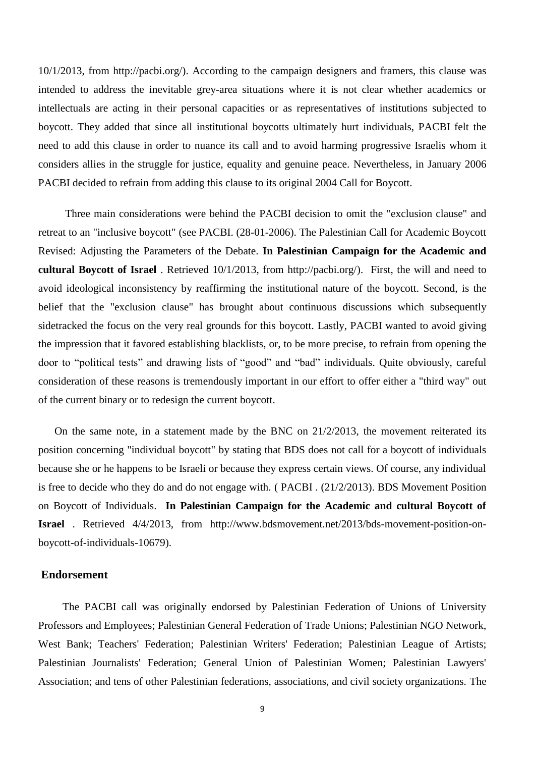10/1/2013, from http://pacbi.org/). According to the campaign designers and framers, this clause was intended to address the inevitable grey-area situations where it is not clear whether academics or intellectuals are acting in their personal capacities or as representatives of institutions subjected to boycott. They added that since all institutional boycotts ultimately hurt individuals, PACBI felt the need to add this clause in order to nuance its call and to avoid harming progressive Israelis whom it considers allies in the struggle for justice, equality and genuine peace. Nevertheless, in January 2006 PACBI decided to refrain from adding this clause to its original 2004 Call for Boycott.

 Three main considerations were behind the PACBI decision to omit the "exclusion clause" and retreat to an "inclusive boycott" (see PACBI. (28-01-2006). The Palestinian Call for Academic Boycott Revised: Adjusting the Parameters of the Debate. **In Palestinian Campaign for the Academic and cultural Boycott of Israel** . Retrieved 10/1/2013, from http://pacbi.org/). First, the will and need to avoid ideological inconsistency by reaffirming the institutional nature of the boycott. Second, is the belief that the "exclusion clause" has brought about continuous discussions which subsequently sidetracked the focus on the very real grounds for this boycott. Lastly, PACBI wanted to avoid giving the impression that it favored establishing blacklists, or, to be more precise, to refrain from opening the door to "political tests" and drawing lists of "good" and "bad" individuals. Quite obviously, careful consideration of these reasons is tremendously important in our effort to offer either a "third way" out of the current binary or to redesign the current boycott.

 On the same note, in a statement made by the BNC on 21/2/2013, the movement reiterated its position concerning "individual boycott" by stating that BDS does not call for a boycott of individuals because she or he happens to be Israeli or because they express certain views. Of course, any individual is free to decide who they do and do not engage with. ( PACBI . (21/2/2013). BDS Movement Position on Boycott of Individuals. **In Palestinian Campaign for the Academic and cultural Boycott of Israel** . Retrieved 4/4/2013, from http://www.bdsmovement.net/2013/bds-movement-position-onboycott-of-individuals-10679).

## **Endorsement**

 The PACBI call was originally endorsed by Palestinian Federation of Unions of University Professors and Employees; Palestinian General Federation of Trade Unions; Palestinian NGO Network, West Bank; Teachers' Federation; Palestinian Writers' Federation; Palestinian League of Artists; Palestinian Journalists' Federation; General Union of Palestinian Women; Palestinian Lawyers' Association; and tens of other Palestinian federations, associations, and civil society organizations. The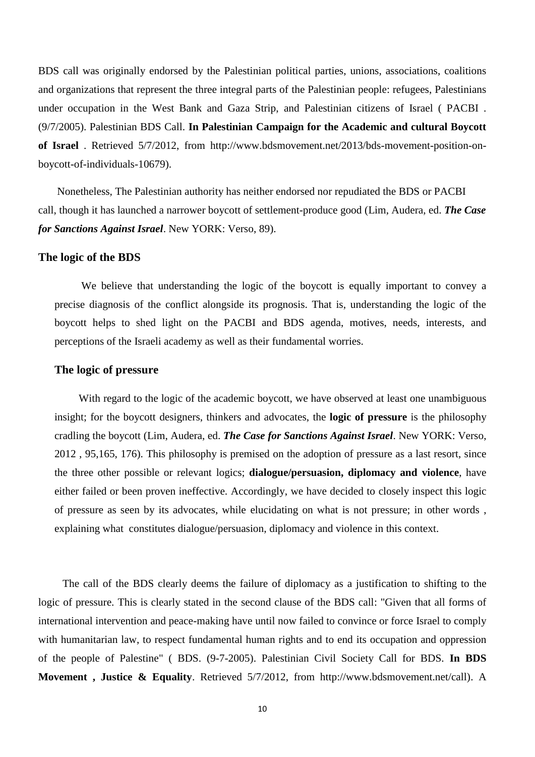BDS call was originally endorsed by the Palestinian political parties, unions, associations, coalitions and organizations that represent the three integral parts of the Palestinian people: refugees, Palestinians under occupation in the West Bank and Gaza Strip, and Palestinian citizens of Israel ( PACBI . (9/7/2005). Palestinian BDS Call. **In Palestinian Campaign for the Academic and cultural Boycott of Israel** . Retrieved 5/7/2012, from http://www.bdsmovement.net/2013/bds-movement-position-onboycott-of-individuals-10679).

Nonetheless, The Palestinian authority has neither endorsed nor repudiated the BDS or PACBI call, though it has launched a narrower boycott of settlement-produce good (Lim, Audera, ed. *The Case for Sanctions Against Israel*. New YORK: Verso, 89).

#### **The logic of the BDS**

We believe that understanding the logic of the boycott is equally important to convey a precise diagnosis of the conflict alongside its prognosis. That is, understanding the logic of the boycott helps to shed light on the PACBI and BDS agenda, motives, needs, interests, and perceptions of the Israeli academy as well as their fundamental worries.

## **The logic of pressure**

With regard to the logic of the academic boycott, we have observed at least one unambiguous insight; for the boycott designers, thinkers and advocates, the **logic of pressure** is the philosophy cradling the boycott (Lim, Audera, ed. *The Case for Sanctions Against Israel*. New YORK: Verso, 2012 , 95,165, 176). This philosophy is premised on the adoption of pressure as a last resort, since the three other possible or relevant logics; **dialogue/persuasion, diplomacy and violence**, have either failed or been proven ineffective. Accordingly, we have decided to closely inspect this logic of pressure as seen by its advocates, while elucidating on what is not pressure; in other words , explaining what constitutes dialogue/persuasion, diplomacy and violence in this context.

 The call of the BDS clearly deems the failure of diplomacy as a justification to shifting to the logic of pressure. This is clearly stated in the second clause of the BDS call: "Given that all forms of international intervention and peace-making have until now failed to convince or force Israel to comply with humanitarian law, to respect fundamental human rights and to end its occupation and oppression of the people of Palestine" ( BDS. (9-7-2005). Palestinian Civil Society Call for BDS. **In BDS Movement , Justice & Equality**. Retrieved 5/7/2012, from http://www.bdsmovement.net/call). A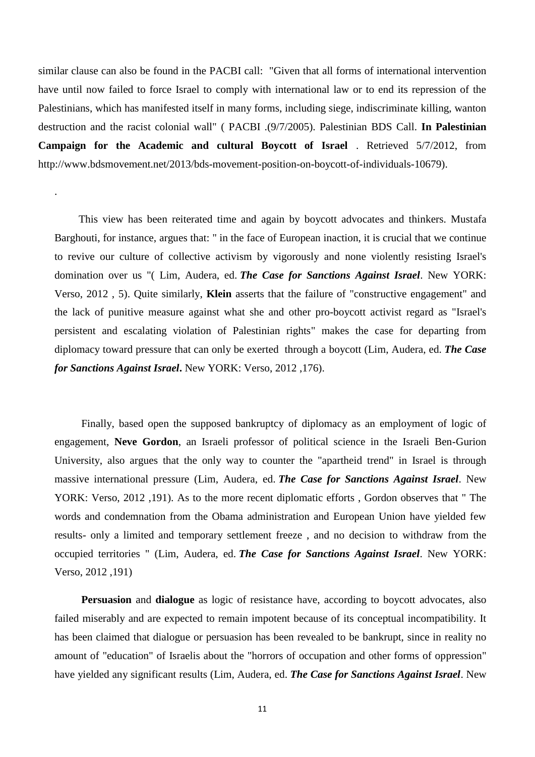similar clause can also be found in the PACBI call: "Given that all forms of international intervention have until now failed to force Israel to comply with international law or to end its repression of the Palestinians, which has manifested itself in many forms, including siege, indiscriminate killing, wanton destruction and the racist colonial wall" ( PACBI .(9/7/2005). Palestinian BDS Call. **In Palestinian Campaign for the Academic and cultural Boycott of Israel** . Retrieved 5/7/2012, from http://www.bdsmovement.net/2013/bds-movement-position-on-boycott-of-individuals-10679).

.

 This view has been reiterated time and again by boycott advocates and thinkers. Mustafa Barghouti, for instance, argues that: " in the face of European inaction, it is crucial that we continue to revive our culture of collective activism by vigorously and none violently resisting Israel's domination over us "( Lim, Audera, ed. *The Case for Sanctions Against Israel*. New YORK: Verso, 2012 , 5). Quite similarly, **Klein** asserts that the failure of "constructive engagement" and the lack of punitive measure against what she and other pro-boycott activist regard as "Israel's persistent and escalating violation of Palestinian rights" makes the case for departing from diplomacy toward pressure that can only be exerted through a boycott (Lim, Audera, ed. *The Case for Sanctions Against Israel***.** New YORK: Verso, 2012 ,176).

 Finally, based open the supposed bankruptcy of diplomacy as an employment of logic of engagement, **Neve Gordon**, an Israeli professor of political science in the Israeli Ben-Gurion University, also argues that the only way to counter the "apartheid trend" in Israel is through massive international pressure (Lim, Audera, ed. *The Case for Sanctions Against Israel*. New YORK: Verso, 2012 ,191). As to the more recent diplomatic efforts , Gordon observes that " The words and condemnation from the Obama administration and European Union have yielded few results- only a limited and temporary settlement freeze , and no decision to withdraw from the occupied territories " (Lim, Audera, ed. *The Case for Sanctions Against Israel*. New YORK: Verso, 2012 ,191)

 **Persuasion** and **dialogue** as logic of resistance have, according to boycott advocates, also failed miserably and are expected to remain impotent because of its conceptual incompatibility. It has been claimed that dialogue or persuasion has been revealed to be bankrupt, since in reality no amount of "education" of Israelis about the "horrors of occupation and other forms of oppression" have yielded any significant results (Lim, Audera, ed. *The Case for Sanctions Against Israel*. New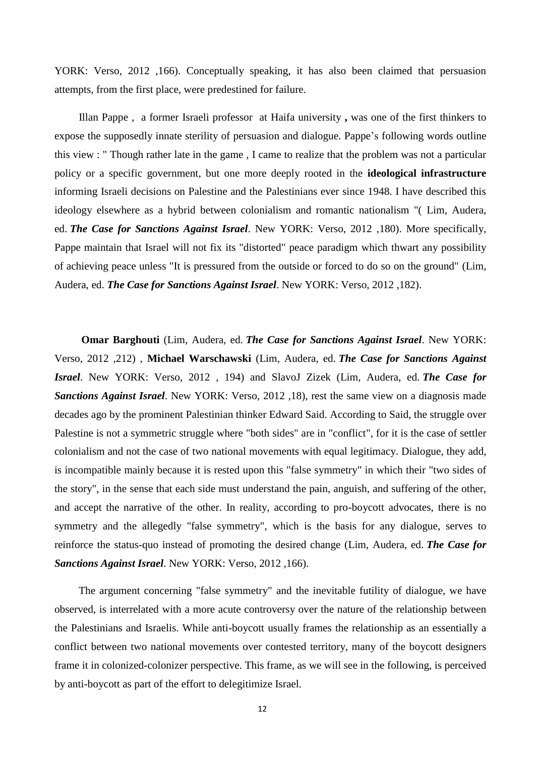YORK: Verso, 2012 ,166). Conceptually speaking, it has also been claimed that persuasion attempts, from the first place, were predestined for failure.

Illan Pappe , a former Israeli professor at Haifa university **,** was one of the first thinkers to expose the supposedly innate sterility of persuasion and dialogue. Pappe's following words outline this view : " Though rather late in the game , I came to realize that the problem was not a particular policy or a specific government, but one more deeply rooted in the **ideological infrastructure** informing Israeli decisions on Palestine and the Palestinians ever since 1948. I have described this ideology elsewhere as a hybrid between colonialism and romantic nationalism "( Lim, Audera, ed. *The Case for Sanctions Against Israel*. New YORK: Verso, 2012 ,180). More specifically, Pappe maintain that Israel will not fix its "distorted" peace paradigm which thwart any possibility of achieving peace unless "It is pressured from the outside or forced to do so on the ground" (Lim, Audera, ed. *The Case for Sanctions Against Israel*. New YORK: Verso, 2012 ,182).

 **Omar Barghouti** (Lim, Audera, ed. *The Case for Sanctions Against Israel*. New YORK: Verso, 2012 ,212) , **Michael Warschawski** (Lim, Audera, ed. *The Case for Sanctions Against Israel*. New YORK: Verso, 2012 , 194) and SlavoJ Zizek (Lim, Audera, ed. *The Case for Sanctions Against Israel*. New YORK: Verso, 2012 ,18), rest the same view on a diagnosis made decades ago by the prominent Palestinian thinker Edward Said. According to Said, the struggle over Palestine is not a symmetric struggle where "both sides" are in "conflict", for it is the case of settler colonialism and not the case of two national movements with equal legitimacy. Dialogue, they add, is incompatible mainly because it is rested upon this "false symmetry" in which their "two sides of the story", in the sense that each side must understand the pain, anguish, and suffering of the other, and accept the narrative of the other. In reality, according to pro-boycott advocates, there is no symmetry and the allegedly "false symmetry", which is the basis for any dialogue, serves to reinforce the status-quo instead of promoting the desired change (Lim, Audera, ed. *The Case for Sanctions Against Israel*. New YORK: Verso, 2012 ,166).

The argument concerning "false symmetry" and the inevitable futility of dialogue, we have observed, is interrelated with a more acute controversy over the nature of the relationship between the Palestinians and Israelis. While anti-boycott usually frames the relationship as an essentially a conflict between two national movements over contested territory, many of the boycott designers frame it in colonized-colonizer perspective. This frame, as we will see in the following, is perceived by anti-boycott as part of the effort to delegitimize Israel.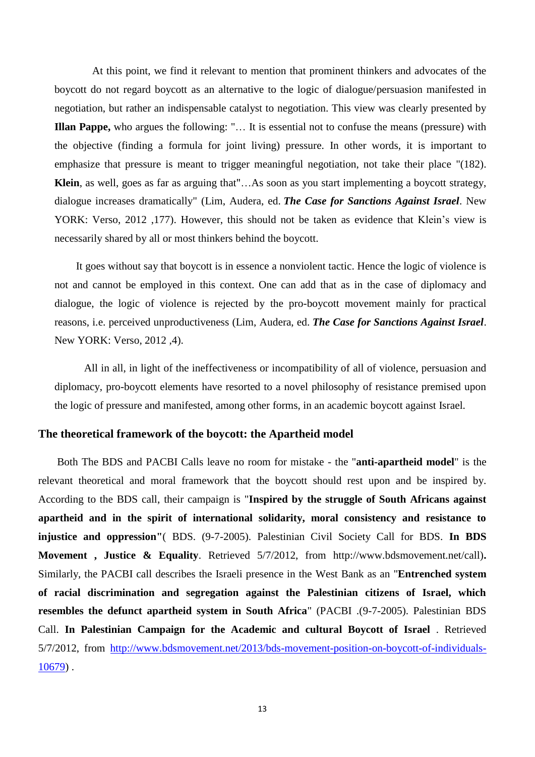At this point, we find it relevant to mention that prominent thinkers and advocates of the boycott do not regard boycott as an alternative to the logic of dialogue/persuasion manifested in negotiation, but rather an indispensable catalyst to negotiation. This view was clearly presented by **Illan Pappe,** who argues the following: "… It is essential not to confuse the means (pressure) with the objective (finding a formula for joint living) pressure. In other words, it is important to emphasize that pressure is meant to trigger meaningful negotiation, not take their place "(182). **Klein**, as well, goes as far as arguing that"…As soon as you start implementing a boycott strategy, dialogue increases dramatically" (Lim, Audera, ed. *The Case for Sanctions Against Israel*. New YORK: Verso, 2012 ,177). However, this should not be taken as evidence that Klein's view is necessarily shared by all or most thinkers behind the boycott.

 It goes without say that boycott is in essence a nonviolent tactic. Hence the logic of violence is not and cannot be employed in this context. One can add that as in the case of diplomacy and dialogue, the logic of violence is rejected by the pro-boycott movement mainly for practical reasons, i.e. perceived unproductiveness (Lim, Audera, ed. *The Case for Sanctions Against Israel*. New YORK: Verso, 2012 ,4).

 All in all, in light of the ineffectiveness or incompatibility of all of violence, persuasion and diplomacy, pro-boycott elements have resorted to a novel philosophy of resistance premised upon the logic of pressure and manifested, among other forms, in an academic boycott against Israel.

# **The theoretical framework of the boycott: the Apartheid model**

 Both The BDS and PACBI Calls leave no room for mistake - the "**anti-apartheid model**" is the relevant theoretical and moral framework that the boycott should rest upon and be inspired by. According to the BDS call, their campaign is "**Inspired by the struggle of South Africans against apartheid and in the spirit of international solidarity, moral consistency and resistance to injustice and oppression"**( BDS. (9-7-2005). Palestinian Civil Society Call for BDS. **In BDS Movement , Justice & Equality**. Retrieved 5/7/2012, from http://www.bdsmovement.net/call)**.**  Similarly, the PACBI call describes the Israeli presence in the West Bank as an "**Entrenched system of racial discrimination and segregation against the Palestinian citizens of Israel, which resembles the defunct apartheid system in South Africa**" (PACBI .(9-7-2005). Palestinian BDS Call. **In Palestinian Campaign for the Academic and cultural Boycott of Israel** . Retrieved 5/7/2012, from [http://www.bdsmovement.net/2013/bds-movement-position-on-boycott-of-individuals-](http://www.bdsmovement.net/2013/bds-movement-position-on-boycott-of-individuals-10679)[10679\)](http://www.bdsmovement.net/2013/bds-movement-position-on-boycott-of-individuals-10679) .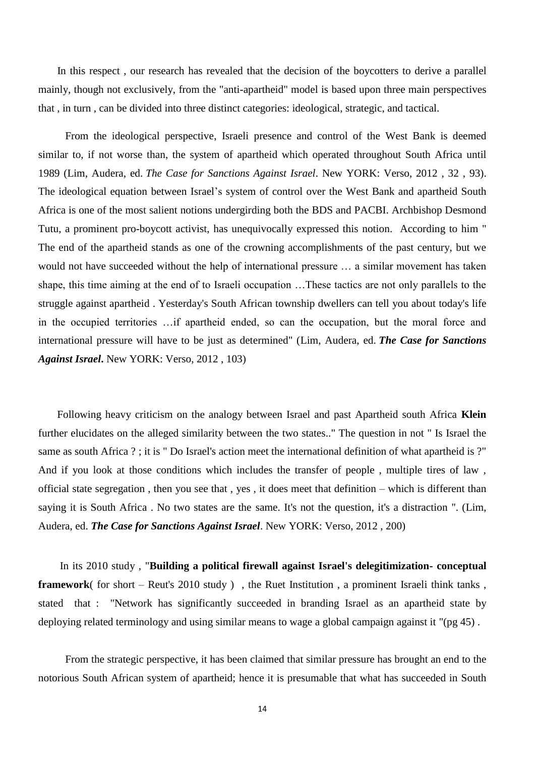In this respect , our research has revealed that the decision of the boycotters to derive a parallel mainly, though not exclusively, from the "anti-apartheid" model is based upon three main perspectives that , in turn , can be divided into three distinct categories: ideological, strategic, and tactical.

 From the ideological perspective, Israeli presence and control of the West Bank is deemed similar to, if not worse than, the system of apartheid which operated throughout South Africa until 1989 (Lim, Audera, ed. *The Case for Sanctions Against Israel*. New YORK: Verso, 2012 , 32 , 93). The ideological equation between Israel's system of control over the West Bank and apartheid South Africa is one of the most salient notions undergirding both the BDS and PACBI. Archbishop Desmond Tutu, a prominent pro-boycott activist, has unequivocally expressed this notion. According to him " The end of the apartheid stands as one of the crowning accomplishments of the past century, but we would not have succeeded without the help of international pressure … a similar movement has taken shape, this time aiming at the end of to Israeli occupation …These tactics are not only parallels to the struggle against apartheid . Yesterday's South African township dwellers can tell you about today's life in the occupied territories …if apartheid ended, so can the occupation, but the moral force and international pressure will have to be just as determined" (Lim, Audera, ed. *The Case for Sanctions Against Israel***.** New YORK: Verso, 2012 , 103)

Following heavy criticism on the analogy between Israel and past Apartheid south Africa **Klein**  further elucidates on the alleged similarity between the two states.." The question in not " Is Israel the same as south Africa ? ; it is " Do Israel's action meet the international definition of what apartheid is ?" And if you look at those conditions which includes the transfer of people , multiple tires of law , official state segregation , then you see that , yes , it does meet that definition – which is different than saying it is South Africa . No two states are the same. It's not the question, it's a distraction ". (Lim, Audera, ed. *The Case for Sanctions Against Israel*. New YORK: Verso, 2012 , 200)

 In its 2010 study , "**Building a political firewall against Israel's delegitimization- conceptual framework**( for short – Reut's 2010 study ) , the Ruet Institution , a prominent Israeli think tanks , stated that : "Network has significantly succeeded in branding Israel as an apartheid state by deploying related terminology and using similar means to wage a global campaign against it "(pg 45) .

 From the strategic perspective, it has been claimed that similar pressure has brought an end to the notorious South African system of apartheid; hence it is presumable that what has succeeded in South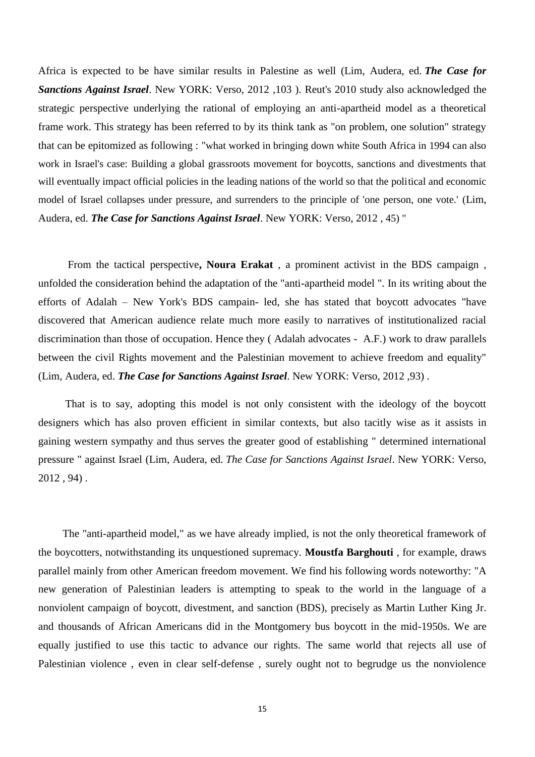Africa is expected to be have similar results in Palestine as well (Lim, Audera, ed. *The Case for Sanctions Against Israel*. New YORK: Verso, 2012 ,103 ). Reut's 2010 study also acknowledged the strategic perspective underlying the rational of employing an anti-apartheid model as a theoretical frame work. This strategy has been referred to by its think tank as "on problem, one solution" strategy that can be epitomized as following : "what worked in bringing down white South Africa in 1994 can also work in Israel's case: Building a global grassroots movement for boycotts, sanctions and divestments that will eventually impact official policies in the leading nations of the world so that the political and economic model of Israel collapses under pressure, and surrenders to the principle of 'one person, one vote.' (Lim, Audera, ed. *The Case for Sanctions Against Israel*. New YORK: Verso, 2012 , 45) "

 From the tactical perspective**, Noura Erakat** , a prominent activist in the BDS campaign , unfolded the consideration behind the adaptation of the "anti-apartheid model ". In its writing about the efforts of Adalah – New York's BDS campain- led, she has stated that boycott advocates "have discovered that American audience relate much more easily to narratives of institutionalized racial discrimination than those of occupation. Hence they ( Adalah advocates - A.F.) work to draw parallels between the civil Rights movement and the Palestinian movement to achieve freedom and equality" (Lim, Audera, ed. *The Case for Sanctions Against Israel*. New YORK: Verso, 2012 ,93) .

 That is to say, adopting this model is not only consistent with the ideology of the boycott designers which has also proven efficient in similar contexts, but also tacitly wise as it assists in gaining western sympathy and thus serves the greater good of establishing " determined international pressure " against Israel (Lim, Audera, ed. *The Case for Sanctions Against Israel*. New YORK: Verso, 2012 , 94) .

 The "anti-apartheid model," as we have already implied, is not the only theoretical framework of the boycotters, notwithstanding its unquestioned supremacy. **Moustfa Barghouti** , for example, draws parallel mainly from other American freedom movement. We find his following words noteworthy: "A new generation of Palestinian leaders is attempting to speak to the world in the language of a nonviolent campaign of boycott, divestment, and sanction (BDS), precisely as Martin Luther King Jr. and thousands of African Americans did in the Montgomery bus boycott in the mid-1950s. We are equally justified to use this tactic to advance our rights. The same world that rejects all use of Palestinian violence , even in clear self-defense , surely ought not to begrudge us the nonviolence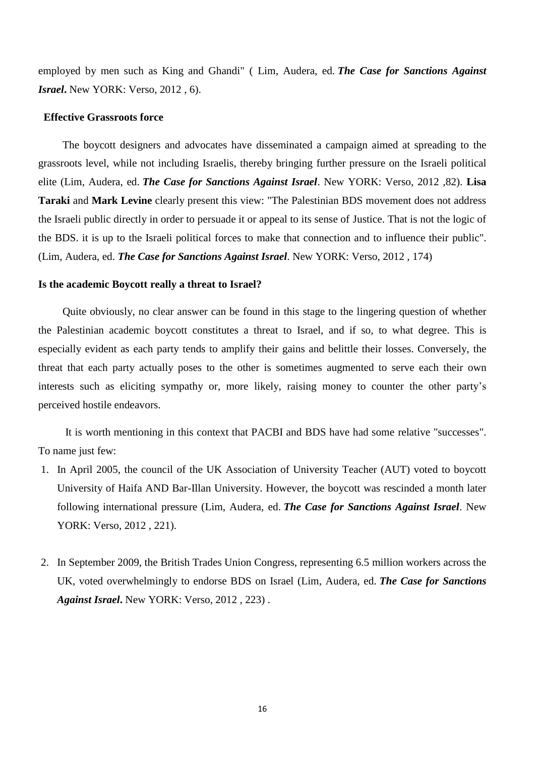employed by men such as King and Ghandi" ( Lim, Audera, ed. *The Case for Sanctions Against Israel***.** New YORK: Verso, 2012 , 6).

#### **Effective Grassroots force**

 The boycott designers and advocates have disseminated a campaign aimed at spreading to the grassroots level, while not including Israelis, thereby bringing further pressure on the Israeli political elite (Lim, Audera, ed. *The Case for Sanctions Against Israel*. New YORK: Verso, 2012 ,82). **Lisa Taraki** and **Mark Levine** clearly present this view: "The Palestinian BDS movement does not address the Israeli public directly in order to persuade it or appeal to its sense of Justice. That is not the logic of the BDS. it is up to the Israeli political forces to make that connection and to influence their public". (Lim, Audera, ed. *The Case for Sanctions Against Israel*. New YORK: Verso, 2012 , 174)

#### **Is the academic Boycott really a threat to Israel?**

 Quite obviously, no clear answer can be found in this stage to the lingering question of whether the Palestinian academic boycott constitutes a threat to Israel, and if so, to what degree. This is especially evident as each party tends to amplify their gains and belittle their losses. Conversely, the threat that each party actually poses to the other is sometimes augmented to serve each their own interests such as eliciting sympathy or, more likely, raising money to counter the other party's perceived hostile endeavors.

 It is worth mentioning in this context that PACBI and BDS have had some relative "successes". To name just few:

- 1. In April 2005, the council of the UK Association of University Teacher (AUT) voted to boycott University of Haifa AND Bar-Illan University. However, the boycott was rescinded a month later following international pressure (Lim, Audera, ed. *The Case for Sanctions Against Israel*. New YORK: Verso, 2012 , 221).
- 2. In September 2009, the British Trades Union Congress, representing 6.5 million workers across the UK, voted overwhelmingly to endorse BDS on Israel (Lim, Audera, ed. *The Case for Sanctions Against Israel***.** New YORK: Verso, 2012 , 223) .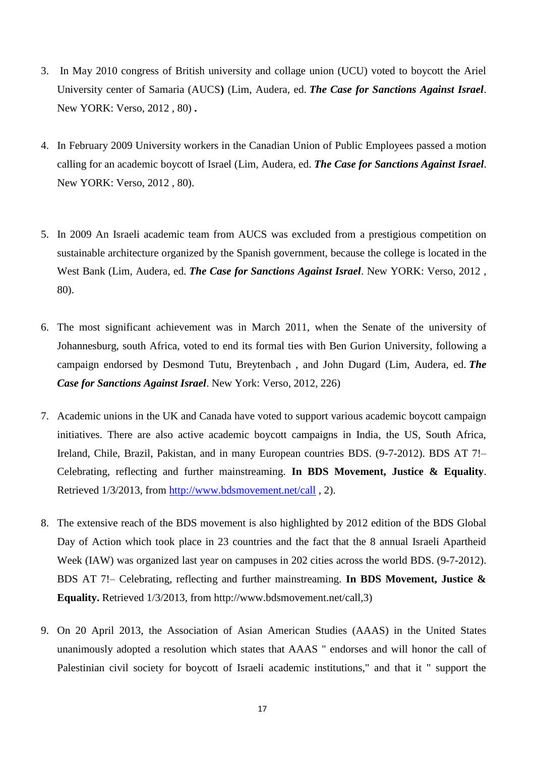- 3. In May 2010 congress of British university and collage union (UCU) voted to boycott the Ariel University center of Samaria (AUCS**)** (Lim, Audera, ed. *The Case for Sanctions Against Israel*. New YORK: Verso, 2012 , 80) **.**
- 4. In February 2009 University workers in the Canadian Union of Public Employees passed a motion calling for an academic boycott of Israel (Lim, Audera, ed. *The Case for Sanctions Against Israel*. New YORK: Verso, 2012 , 80).
- 5. In 2009 An Israeli academic team from AUCS was excluded from a prestigious competition on sustainable architecture organized by the Spanish government, because the college is located in the West Bank (Lim, Audera, ed. *The Case for Sanctions Against Israel*. New YORK: Verso, 2012 , 80).
- 6. The most significant achievement was in March 2011, when the Senate of the university of Johannesburg, south Africa, voted to end its formal ties with Ben Gurion University, following a campaign endorsed by Desmond Tutu, Breytenbach , and John Dugard (Lim, Audera, ed. *The Case for Sanctions Against Israel*. New York: Verso, 2012, 226)
- 7. Academic unions in the UK and Canada have voted to support various academic boycott campaign initiatives. There are also active academic boycott campaigns in India, the US, South Africa, Ireland, Chile, Brazil, Pakistan, and in many European countries BDS. (9-7-2012). BDS AT 7!– Celebrating, reflecting and further mainstreaming. **In BDS Movement, Justice & Equality**. Retrieved 1/3/2013, from<http://www.bdsmovement.net/call> , 2).
- 8. The extensive reach of the BDS movement is also highlighted by 2012 edition of the BDS Global Day of Action which took place in 23 countries and the fact that the 8 annual Israeli Apartheid Week (IAW) was organized last year on campuses in 202 cities across the world BDS. (9-7-2012). BDS AT 7!– Celebrating, reflecting and further mainstreaming. **In BDS Movement, Justice & Equality.** Retrieved 1/3/2013, from http://www.bdsmovement.net/call,3)
- 9. On 20 April 2013, the Association of Asian American Studies (AAAS) in the United States unanimously adopted a resolution which states that AAAS " endorses and will honor the call of Palestinian civil society for boycott of Israeli academic institutions," and that it " support the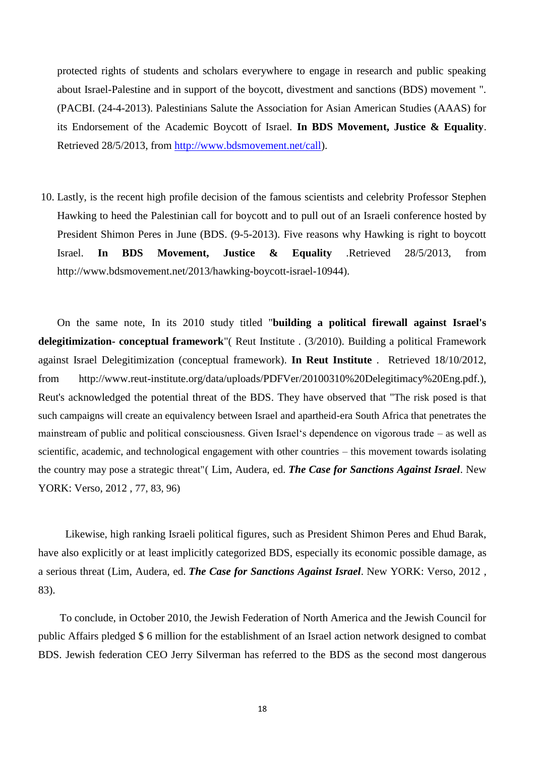protected rights of students and scholars everywhere to engage in research and public speaking about Israel-Palestine and in support of the boycott, divestment and sanctions (BDS) movement ". (PACBI. (24-4-2013). Palestinians Salute the Association for Asian American Studies (AAAS) for its Endorsement of the Academic Boycott of Israel. **In BDS Movement, Justice & Equality**. Retrieved 28/5/2013, from [http://www.bdsmovement.net/call\)](http://www.bdsmovement.net/call).

10. Lastly, is the recent high profile decision of the famous scientists and celebrity Professor Stephen Hawking to heed the Palestinian call for boycott and to pull out of an Israeli conference hosted by President Shimon Peres in June (BDS. (9-5-2013). Five reasons why Hawking is right to boycott Israel. **In BDS Movement, Justice & Equality** .Retrieved 28/5/2013, from http://www.bdsmovement.net/2013/hawking-boycott-israel-10944).

 On the same note, In its 2010 study titled "**building a political firewall against Israel's delegitimization- conceptual framework**"( Reut Institute . (3/2010). Building a political Framework against Israel Delegitimization (conceptual framework). **In Reut Institute** . Retrieved 18/10/2012, from http://www.reut-institute.org/data/uploads/PDFVer/20100310%20Delegitimacy%20Eng.pdf.), Reut's acknowledged the potential threat of the BDS. They have observed that "The risk posed is that such campaigns will create an equivalency between Israel and apartheid-era South Africa that penetrates the mainstream of public and political consciousness. Given Israel's dependence on vigorous trade – as well as scientific, academic, and technological engagement with other countries – this movement towards isolating the country may pose a strategic threat"( Lim, Audera, ed. *The Case for Sanctions Against Israel*. New YORK: Verso, 2012 , 77, 83, 96)

 Likewise, high ranking Israeli political figures, such as President Shimon Peres and Ehud Barak, have also explicitly or at least implicitly categorized BDS, especially its economic possible damage, as a serious threat (Lim, Audera, ed. *The Case for Sanctions Against Israel*. New YORK: Verso, 2012 , 83).

 To conclude, in October 2010, the Jewish Federation of North America and the Jewish Council for public Affairs pledged \$ 6 million for the establishment of an Israel action network designed to combat BDS. Jewish federation CEO Jerry Silverman has referred to the BDS as the second most dangerous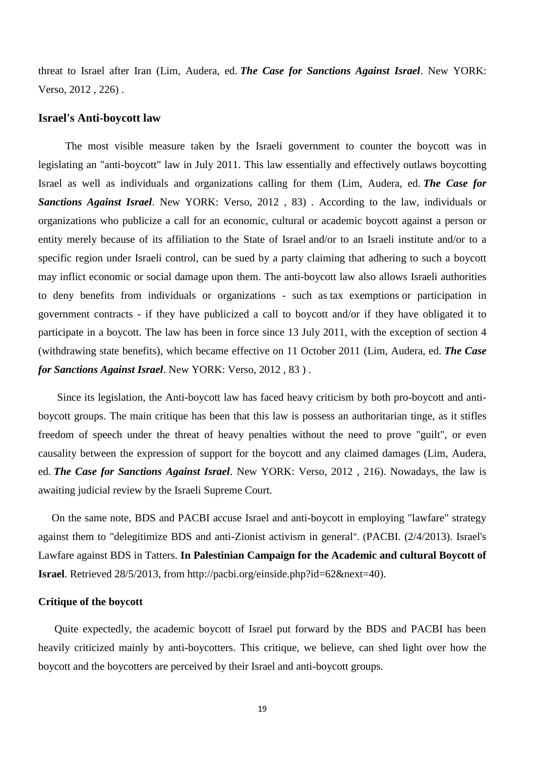threat to Israel after Iran (Lim, Audera, ed. *The Case for Sanctions Against Israel*. New YORK: Verso, 2012 , 226) .

#### **Israel's Anti-boycott law**

 The most visible measure taken by the Israeli government to counter the boycott was in legislating an "anti-boycott" law in July 2011. This law essentially and effectively outlaws boycotting Israel as well as individuals and organizations calling for them (Lim, Audera, ed. *The Case for Sanctions Against Israel*. New YORK: Verso, 2012 , 83) . According to the law, individuals or organizations who publicize a call for an economic, cultural or academic boycott against a person or entity merely because of its affiliation to the [State of Israel](http://en.wikipedia.org/wiki/State_of_Israel) and/or to an Israeli institute and/or to a specific region under Israeli control, can be sued by a party claiming that adhering to such a boycott may inflict economic or social damage upon them. The anti-boycott law also allows Israeli authorities to deny benefits from individuals or organizations - such as [tax exemptions](http://en.wikipedia.org/wiki/Tax_exemption) or participation in government contracts - if they have publicized a call to boycott and/or if they have obligated it to participate in a boycott. The law has been in force since 13 July 2011, with the exception of section 4 (withdrawing state benefits), which became effective on 11 October 2011 (Lim, Audera, ed. *The Case for Sanctions Against Israel*. New YORK: Verso, 2012 , 83 ) .

 Since its legislation, the Anti-boycott law has faced heavy criticism by both pro-boycott and antiboycott groups. The main critique has been that this law is possess an authoritarian tinge, as it stifles freedom of speech under the threat of heavy penalties without the need to prove "guilt", or even causality between the expression of support for the boycott and any claimed damages (Lim, Audera, ed. *The Case for Sanctions Against Israel*. New YORK: Verso, 2012 , 216). Nowadays, the law is awaiting judicial review by the Israeli Supreme Court.

 On the same note, BDS and PACBI accuse Israel and anti-boycott in employing "lawfare" strategy against them to "delegitimize BDS and anti-Zionist activism in general". (PACBI. (2/4/2013). Israel's Lawfare against BDS in Tatters. **In Palestinian Campaign for the Academic and cultural Boycott of Israel**. Retrieved 28/5/2013, from http://pacbi.org/einside.php?id=62&next=40).

## **Critique of the boycott**

 Quite expectedly, the academic boycott of Israel put forward by the BDS and PACBI has been heavily criticized mainly by anti-boycotters. This critique, we believe, can shed light over how the boycott and the boycotters are perceived by their Israel and anti-boycott groups.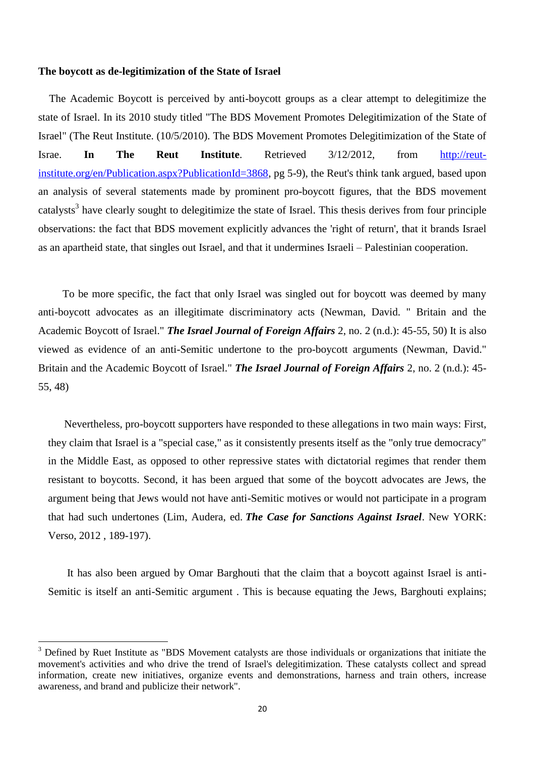#### **The boycott as de-legitimization of the State of Israel**

 The Academic Boycott is perceived by anti-boycott groups as a clear attempt to delegitimize the state of Israel. In its 2010 study titled "The BDS Movement Promotes Delegitimization of the State of Israel" (The Reut Institute. (10/5/2010). The BDS Movement Promotes Delegitimization of the State of Israe. **In The Reut Institute**. Retrieved 3/12/2012, from [http://reut](http://reut-institute.org/en/Publication.aspx?PublicationId=3868)[institute.org/en/Publication.aspx?PublicationId=3868,](http://reut-institute.org/en/Publication.aspx?PublicationId=3868) pg 5-9), the Reut's think tank argued, based upon an analysis of several statements made by prominent pro-boycott figures, that the BDS movement catalysts<sup>3</sup> have clearly sought to delegitimize the state of Israel. This thesis derives from four principle observations: the fact that BDS movement explicitly advances the 'right of return', that it brands Israel as an apartheid state, that singles out Israel, and that it undermines Israeli – Palestinian cooperation.

 To be more specific, the fact that only Israel was singled out for boycott was deemed by many anti-boycott advocates as an illegitimate discriminatory acts (Newman, David. " Britain and the Academic Boycott of Israel." *The Israel Journal of Foreign Affairs* 2, no. 2 (n.d.): 45-55, 50) It is also viewed as evidence of an anti-Semitic undertone to the pro-boycott arguments (Newman, David." Britain and the Academic Boycott of Israel." *The Israel Journal of Foreign Affairs* 2, no. 2 (n.d.): 45- 55, 48)

 Nevertheless, pro-boycott supporters have responded to these allegations in two main ways: First, they claim that Israel is a "special case," as it consistently presents itself as the "only true democracy" in the Middle East, as opposed to other repressive states with dictatorial regimes that render them resistant to boycotts. Second, it has been argued that some of the boycott advocates are Jews, the argument being that Jews would not have anti-Semitic motives or would not participate in a program that had such undertones (Lim, Audera, ed. *The Case for Sanctions Against Israel*. New YORK: Verso, 2012 , 189-197).

 It has also been argued by Omar Barghouti that the claim that a boycott against Israel is anti-Semitic is itself an anti-Semitic argument . This is because equating the Jews, Barghouti explains;

 $\ddot{\phantom{a}}$ 

<sup>&</sup>lt;sup>3</sup> Defined by Ruet Institute as "BDS Movement catalysts are those individuals or organizations that initiate the movement's activities and who drive the trend of Israel's delegitimization. These catalysts collect and spread information, create new initiatives, organize events and demonstrations, harness and train others, increase awareness, and brand and publicize their network".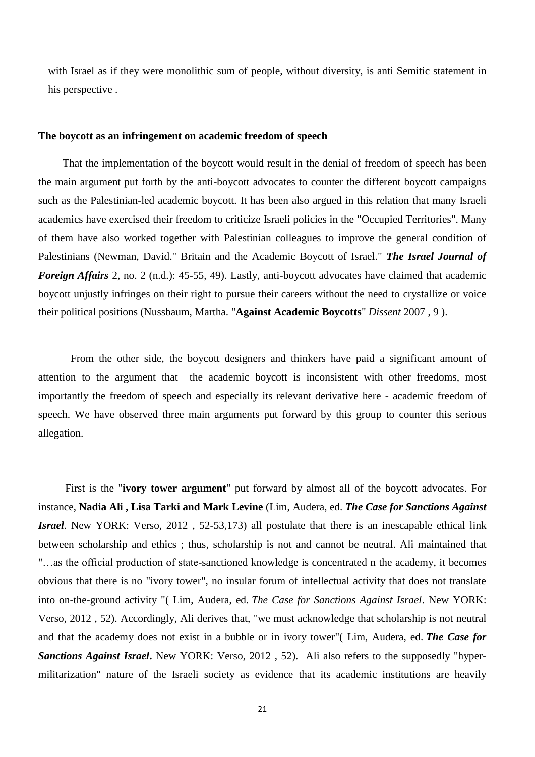with Israel as if they were monolithic sum of people, without diversity, is anti Semitic statement in his perspective .

### **The boycott as an infringement on academic freedom of speech**

 That the implementation of the boycott would result in the denial of freedom of speech has been the main argument put forth by the anti-boycott advocates to counter the different boycott campaigns such as the Palestinian-led academic boycott. It has been also argued in this relation that many Israeli academics have exercised their freedom to criticize Israeli policies in the "Occupied Territories". Many of them have also worked together with Palestinian colleagues to improve the general condition of Palestinians (Newman, David." Britain and the Academic Boycott of Israel." *The Israel Journal of Foreign Affairs* 2, no. 2 (n.d.): 45-55, 49). Lastly, anti-boycott advocates have claimed that academic boycott unjustly infringes on their right to pursue their careers without the need to crystallize or voice their political positions (Nussbaum, Martha. "**Against Academic Boycotts**" *Dissent* 2007 , 9 ).

 From the other side, the boycott designers and thinkers have paid a significant amount of attention to the argument that the academic boycott is inconsistent with other freedoms, most importantly the freedom of speech and especially its relevant derivative here - academic freedom of speech. We have observed three main arguments put forward by this group to counter this serious allegation.

 First is the "**ivory tower argument**" put forward by almost all of the boycott advocates. For instance, **Nadia Ali , Lisa Tarki and Mark Levine** (Lim, Audera, ed. *The Case for Sanctions Against Israel*. New YORK: Verso, 2012 , 52-53,173) all postulate that there is an inescapable ethical link between scholarship and ethics ; thus, scholarship is not and cannot be neutral. Ali maintained that "…as the official production of state-sanctioned knowledge is concentrated n the academy, it becomes obvious that there is no "ivory tower", no insular forum of intellectual activity that does not translate into on-the-ground activity "( Lim, Audera, ed. *The Case for Sanctions Against Israel*. New YORK: Verso, 2012 , 52). Accordingly, Ali derives that, "we must acknowledge that scholarship is not neutral and that the academy does not exist in a bubble or in ivory tower"( Lim, Audera, ed. *The Case for Sanctions Against Israel***.** New YORK: Verso, 2012 , 52). Ali also refers to the supposedly "hypermilitarization" nature of the Israeli society as evidence that its academic institutions are heavily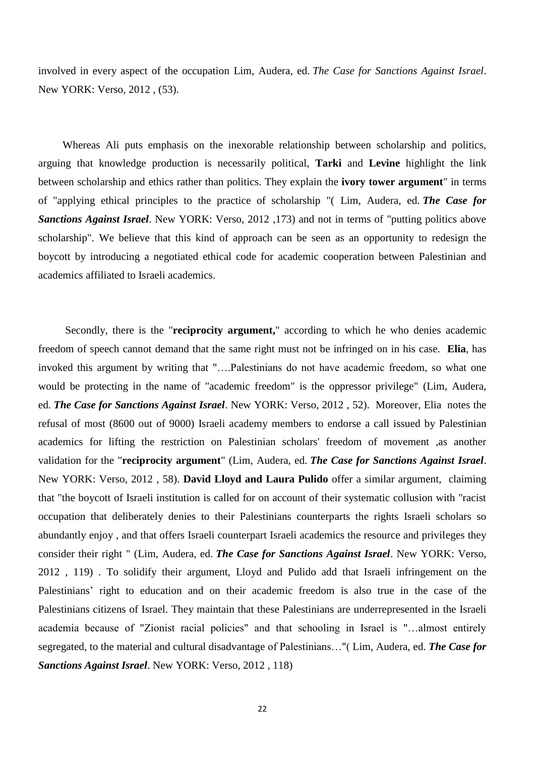involved in every aspect of the occupation Lim, Audera, ed. *The Case for Sanctions Against Israel*. New YORK: Verso, 2012 , (53).

 Whereas Ali puts emphasis on the inexorable relationship between scholarship and politics, arguing that knowledge production is necessarily political, **Tarki** and **Levine** highlight the link between scholarship and ethics rather than politics. They explain the **ivory tower argument**" in terms of "applying ethical principles to the practice of scholarship "( Lim, Audera, ed. *The Case for Sanctions Against Israel*. New YORK: Verso, 2012 ,173) and not in terms of "putting politics above scholarship". We believe that this kind of approach can be seen as an opportunity to redesign the boycott by introducing a negotiated ethical code for academic cooperation between Palestinian and academics affiliated to Israeli academics.

 Secondly, there is the "**reciprocity argument,**" according to which he who denies academic freedom of speech cannot demand that the same right must not be infringed on in his case. **Elia**, has invoked this argument by writing that "….Palestinians do not have academic freedom, so what one would be protecting in the name of "academic freedom" is the oppressor privilege" (Lim, Audera, ed. *The Case for Sanctions Against Israel*. New YORK: Verso, 2012 , 52). Moreover, Elia notes the refusal of most (8600 out of 9000) Israeli academy members to endorse a call issued by Palestinian academics for lifting the restriction on Palestinian scholars' freedom of movement ,as another validation for the "**reciprocity argument**" (Lim, Audera, ed. *The Case for Sanctions Against Israel*. New YORK: Verso, 2012 , 58). **David Lloyd and Laura Pulido** offer a similar argument, claiming that "the boycott of Israeli institution is called for on account of their systematic collusion with "racist occupation that deliberately denies to their Palestinians counterparts the rights Israeli scholars so abundantly enjoy , and that offers Israeli counterpart Israeli academics the resource and privileges they consider their right " (Lim, Audera, ed. *The Case for Sanctions Against Israel*. New YORK: Verso, 2012 , 119) . To solidify their argument, Lloyd and Pulido add that Israeli infringement on the Palestinians' right to education and on their academic freedom is also true in the case of the Palestinians citizens of Israel. They maintain that these Palestinians are underrepresented in the Israeli academia because of "Zionist racial policies" and that schooling in Israel is "…almost entirely segregated, to the material and cultural disadvantage of Palestinians…"( Lim, Audera, ed. *The Case for Sanctions Against Israel*. New YORK: Verso, 2012 , 118)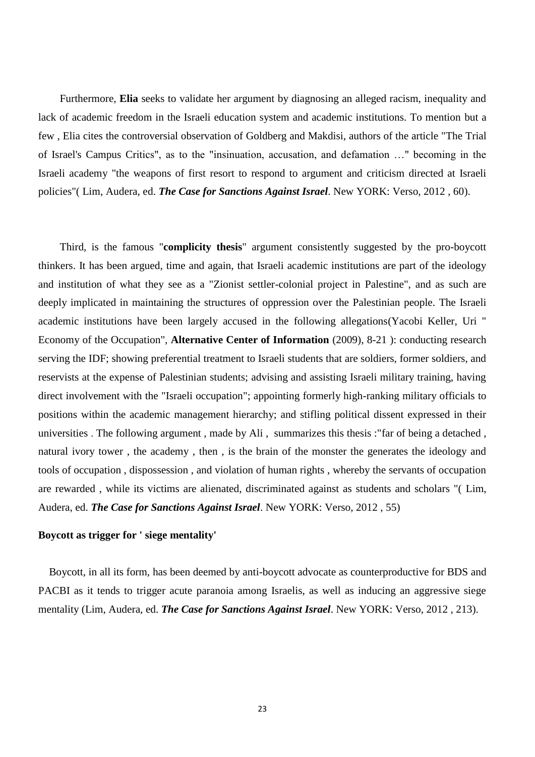Furthermore, **Elia** seeks to validate her argument by diagnosing an alleged racism, inequality and lack of academic freedom in the Israeli education system and academic institutions. To mention but a few , Elia cites the controversial observation of Goldberg and Makdisi, authors of the article "The Trial of Israel's Campus Critics", as to the "insinuation, accusation, and defamation …" becoming in the Israeli academy "the weapons of first resort to respond to argument and criticism directed at Israeli policies"( Lim, Audera, ed. *The Case for Sanctions Against Israel*. New YORK: Verso, 2012 , 60).

Third, is the famous "**complicity thesis**" argument consistently suggested by the pro-boycott thinkers. It has been argued, time and again, that Israeli academic institutions are part of the ideology and institution of what they see as a "Zionist settler-colonial project in Palestine", and as such are deeply implicated in maintaining the structures of oppression over the Palestinian people. The Israeli academic institutions have been largely accused in the following allegations(Yacobi Keller, Uri " Economy of the Occupation", **Alternative Center of Information** (2009), 8-21 ): conducting research serving the IDF; showing preferential treatment to Israeli students that are soldiers, former soldiers, and reservists at the expense of Palestinian students; advising and assisting Israeli military training, having direct involvement with the "Israeli occupation"; appointing formerly high-ranking military officials to positions within the academic management hierarchy; and stifling political dissent expressed in their universities . The following argument , made by Ali , summarizes this thesis :"far of being a detached , natural ivory tower , the academy , then , is the brain of the monster the generates the ideology and tools of occupation , dispossession , and violation of human rights , whereby the servants of occupation are rewarded , while its victims are alienated, discriminated against as students and scholars "( Lim, Audera, ed. *The Case for Sanctions Against Israel*. New YORK: Verso, 2012 , 55)

## **Boycott as trigger for ' siege mentality'**

 Boycott, in all its form, has been deemed by anti-boycott advocate as counterproductive for BDS and PACBI as it tends to trigger acute paranoia among Israelis, as well as inducing an aggressive siege mentality (Lim, Audera, ed. *The Case for Sanctions Against Israel*. New YORK: Verso, 2012 , 213).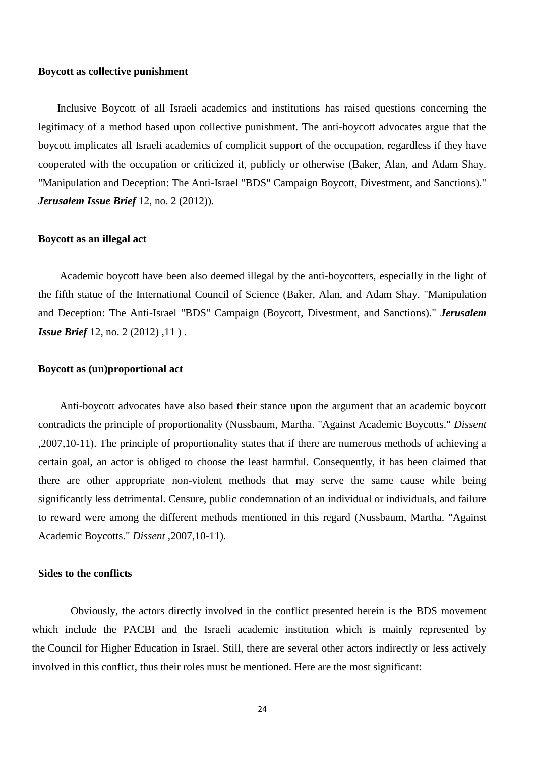#### **Boycott as collective punishment**

 Inclusive Boycott of all Israeli academics and institutions has raised questions concerning the legitimacy of a method based upon collective punishment. The anti-boycott advocates argue that the boycott implicates all Israeli academics of complicit support of the occupation, regardless if they have cooperated with the occupation or criticized it, publicly or otherwise (Baker, Alan, and Adam Shay. "Manipulation and Deception: The Anti-Israel "BDS" Campaign Boycott, Divestment, and Sanctions)." *Jerusalem Issue Brief* 12, no. 2 (2012)).

## **Boycott as an illegal act**

 Academic boycott have been also deemed illegal by the anti-boycotters, especially in the light of the fifth statue of the International Council of Science (Baker, Alan, and Adam Shay. "Manipulation and Deception: The Anti-Israel "BDS" Campaign (Boycott, Divestment, and Sanctions)." *Jerusalem Issue Brief* 12, no. 2 (2012), 11).

## **Boycott as (un)proportional act**

 Anti-boycott advocates have also based their stance upon the argument that an academic boycott contradicts the principle of proportionality (Nussbaum, Martha. "Against Academic Boycotts." *Dissent* ,2007,10-11). The principle of proportionality states that if there are numerous methods of achieving a certain goal, an actor is obliged to choose the least harmful. Consequently, it has been claimed that there are other appropriate non-violent methods that may serve the same cause while being significantly less detrimental. Censure, public condemnation of an individual or individuals, and failure to reward were among the different methods mentioned in this regard (Nussbaum, Martha. "Against Academic Boycotts." *Dissent* ,2007,10-11).

#### **Sides to the conflicts**

Obviously, the actors directly involved in the conflict presented herein is the BDS movement which include the PACBI and the Israeli academic institution which is mainly represented by the Council for Higher Education in Israel. Still, there are several other actors indirectly or less actively involved in this conflict, thus their roles must be mentioned. Here are the most significant: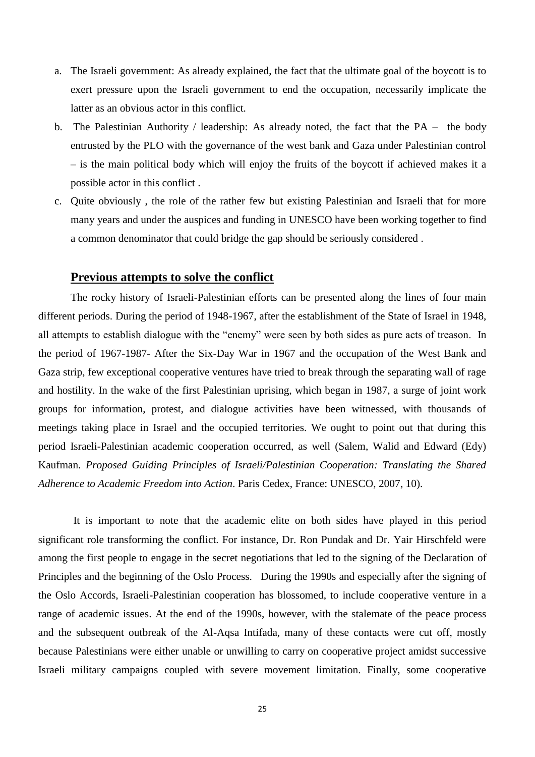- a. The Israeli government: As already explained, the fact that the ultimate goal of the boycott is to exert pressure upon the Israeli government to end the occupation, necessarily implicate the latter as an obvious actor in this conflict.
- b. The Palestinian Authority / leadership: As already noted, the fact that the PA the body entrusted by the PLO with the governance of the west bank and Gaza under Palestinian control – is the main political body which will enjoy the fruits of the boycott if achieved makes it a possible actor in this conflict .
- c. Quite obviously , the role of the rather few but existing Palestinian and Israeli that for more many years and under the auspices and funding in UNESCO have been working together to find a common denominator that could bridge the gap should be seriously considered .

## **Previous attempts to solve the conflict**

The rocky history of Israeli-Palestinian efforts can be presented along the lines of four main different periods. During the period of 1948-1967, after the establishment of the State of Israel in 1948, all attempts to establish dialogue with the "enemy" were seen by both sides as pure acts of treason. In the period of 1967-1987- After the Six-Day War in 1967 and the occupation of the West Bank and Gaza strip, few exceptional cooperative ventures have tried to break through the separating wall of rage and hostility. In the wake of the first Palestinian uprising, which began in 1987, a surge of joint work groups for information, protest, and dialogue activities have been witnessed, with thousands of meetings taking place in Israel and the occupied territories. We ought to point out that during this period Israeli-Palestinian academic cooperation occurred, as well (Salem, Walid and Edward (Edy) Kaufman. *Proposed Guiding Principles of Israeli/Palestinian Cooperation: Translating the Shared Adherence to Academic Freedom into Action*. Paris Cedex, France: UNESCO, 2007, 10).

It is important to note that the academic elite on both sides have played in this period significant role transforming the conflict. For instance, Dr. Ron Pundak and Dr. Yair Hirschfeld were among the first people to engage in the secret negotiations that led to the signing of the Declaration of Principles and the beginning of the Oslo Process. During the 1990s and especially after the signing of the Oslo Accords, Israeli-Palestinian cooperation has blossomed, to include cooperative venture in a range of academic issues. At the end of the 1990s, however, with the stalemate of the peace process and the subsequent outbreak of the Al-Aqsa Intifada, many of these contacts were cut off, mostly because Palestinians were either unable or unwilling to carry on cooperative project amidst successive Israeli military campaigns coupled with severe movement limitation. Finally, some cooperative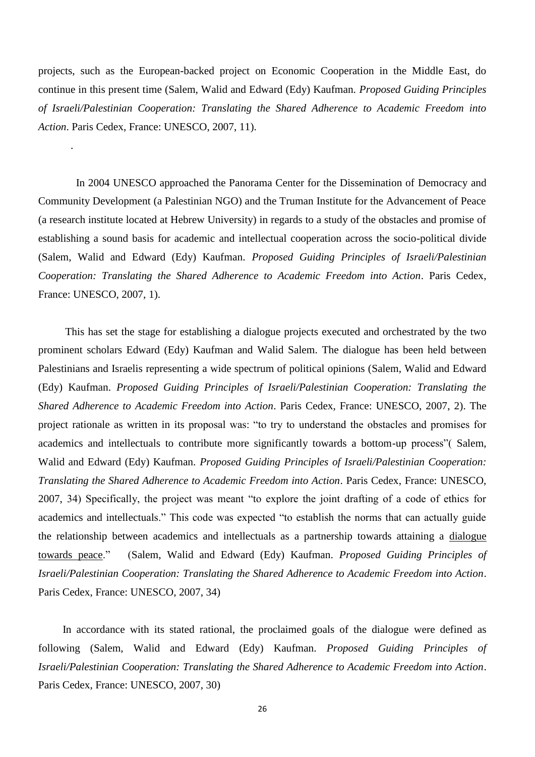projects, such as the European-backed project on Economic Cooperation in the Middle East, do continue in this present time (Salem, Walid and Edward (Edy) Kaufman. *Proposed Guiding Principles of Israeli/Palestinian Cooperation: Translating the Shared Adherence to Academic Freedom into Action*. Paris Cedex, France: UNESCO, 2007, 11).

.

 In 2004 UNESCO approached the Panorama Center for the Dissemination of Democracy and Community Development (a Palestinian NGO) and the Truman Institute for the Advancement of Peace (a research institute located at Hebrew University) in regards to a study of the obstacles and promise of establishing a sound basis for academic and intellectual cooperation across the socio-political divide (Salem, Walid and Edward (Edy) Kaufman. *Proposed Guiding Principles of Israeli/Palestinian Cooperation: Translating the Shared Adherence to Academic Freedom into Action*. Paris Cedex, France: UNESCO, 2007, 1).

 This has set the stage for establishing a dialogue projects executed and orchestrated by the two prominent scholars Edward (Edy) Kaufman and Walid Salem. The dialogue has been held between Palestinians and Israelis representing a wide spectrum of political opinions (Salem, Walid and Edward (Edy) Kaufman. *Proposed Guiding Principles of Israeli/Palestinian Cooperation: Translating the Shared Adherence to Academic Freedom into Action*. Paris Cedex, France: UNESCO, 2007, 2). The project rationale as written in its proposal was: "to try to understand the obstacles and promises for academics and intellectuals to contribute more significantly towards a bottom-up process"( Salem, Walid and Edward (Edy) Kaufman. *Proposed Guiding Principles of Israeli/Palestinian Cooperation: Translating the Shared Adherence to Academic Freedom into Action*. Paris Cedex, France: UNESCO, 2007, 34) Specifically, the project was meant "to explore the joint drafting of a code of ethics for academics and intellectuals." This code was expected "to establish the norms that can actually guide the relationship between academics and intellectuals as a partnership towards attaining a dialogue towards peace." (Salem, Walid and Edward (Edy) Kaufman. *Proposed Guiding Principles of Israeli/Palestinian Cooperation: Translating the Shared Adherence to Academic Freedom into Action*. Paris Cedex, France: UNESCO, 2007, 34)

 In accordance with its stated rational, the proclaimed goals of the dialogue were defined as following (Salem, Walid and Edward (Edy) Kaufman. *Proposed Guiding Principles of Israeli/Palestinian Cooperation: Translating the Shared Adherence to Academic Freedom into Action*. Paris Cedex, France: UNESCO, 2007, 30)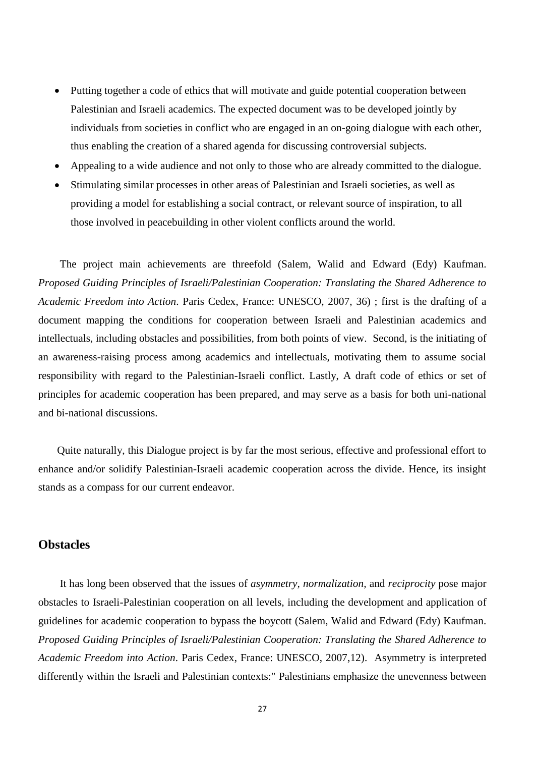- Putting together a code of ethics that will motivate and guide potential cooperation between Palestinian and Israeli academics. The expected document was to be developed jointly by individuals from societies in conflict who are engaged in an on-going dialogue with each other, thus enabling the creation of a shared agenda for discussing controversial subjects.
- Appealing to a wide audience and not only to those who are already committed to the dialogue.
- Stimulating similar processes in other areas of Palestinian and Israeli societies, as well as providing a model for establishing a social contract, or relevant source of inspiration, to all those involved in peacebuilding in other violent conflicts around the world.

 The project main achievements are threefold (Salem, Walid and Edward (Edy) Kaufman. *Proposed Guiding Principles of Israeli/Palestinian Cooperation: Translating the Shared Adherence to Academic Freedom into Action*. Paris Cedex, France: UNESCO, 2007, 36) ; first is the drafting of a document mapping the conditions for cooperation between Israeli and Palestinian academics and intellectuals, including obstacles and possibilities, from both points of view. Second, is the initiating of an awareness-raising process among academics and intellectuals, motivating them to assume social responsibility with regard to the Palestinian-Israeli conflict. Lastly, A draft code of ethics or set of principles for academic cooperation has been prepared, and may serve as a basis for both uni-national and bi-national discussions.

 Quite naturally, this Dialogue project is by far the most serious, effective and professional effort to enhance and/or solidify Palestinian-Israeli academic cooperation across the divide. Hence, its insight stands as a compass for our current endeavor.

# **Obstacles**

 It has long been observed that the issues of *asymmetry, normalization,* and *reciprocity* pose major obstacles to Israeli-Palestinian cooperation on all levels, including the development and application of guidelines for academic cooperation to bypass the boycott (Salem, Walid and Edward (Edy) Kaufman. *Proposed Guiding Principles of Israeli/Palestinian Cooperation: Translating the Shared Adherence to Academic Freedom into Action*. Paris Cedex, France: UNESCO, 2007,12). Asymmetry is interpreted differently within the Israeli and Palestinian contexts:" Palestinians emphasize the unevenness between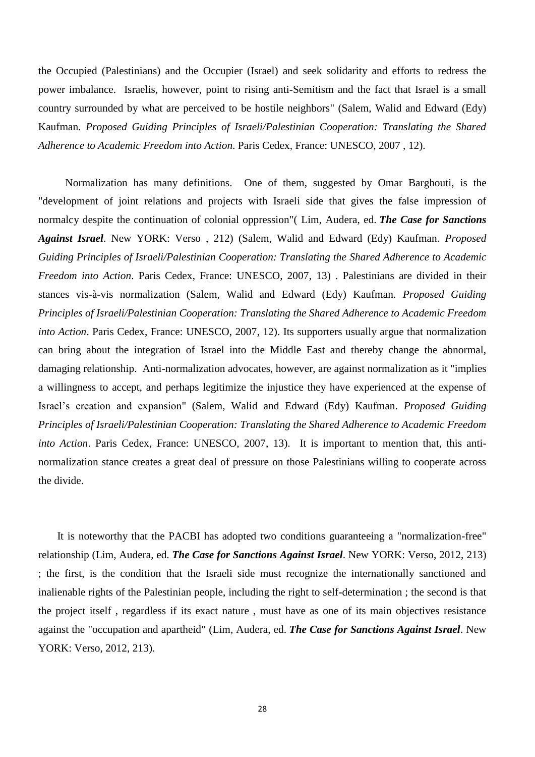the Occupied (Palestinians) and the Occupier (Israel) and seek solidarity and efforts to redress the power imbalance. Israelis, however, point to rising anti-Semitism and the fact that Israel is a small country surrounded by what are perceived to be hostile neighbors" (Salem, Walid and Edward (Edy) Kaufman. *Proposed Guiding Principles of Israeli/Palestinian Cooperation: Translating the Shared Adherence to Academic Freedom into Action*. Paris Cedex, France: UNESCO, 2007 , 12).

 Normalization has many definitions. One of them, suggested by Omar Barghouti, is the "development of joint relations and projects with Israeli side that gives the false impression of normalcy despite the continuation of colonial oppression"( Lim, Audera, ed. *The Case for Sanctions Against Israel*. New YORK: Verso , 212) (Salem, Walid and Edward (Edy) Kaufman. *Proposed Guiding Principles of Israeli/Palestinian Cooperation: Translating the Shared Adherence to Academic Freedom into Action*. Paris Cedex, France: UNESCO, 2007, 13) . Palestinians are divided in their stances vis-à-vis normalization (Salem, Walid and Edward (Edy) Kaufman. *Proposed Guiding Principles of Israeli/Palestinian Cooperation: Translating the Shared Adherence to Academic Freedom into Action*. Paris Cedex, France: UNESCO, 2007, 12). Its supporters usually argue that normalization can bring about the integration of Israel into the Middle East and thereby change the abnormal, damaging relationship. Anti-normalization advocates, however, are against normalization as it "implies a willingness to accept, and perhaps legitimize the injustice they have experienced at the expense of Israel's creation and expansion" (Salem, Walid and Edward (Edy) Kaufman. *Proposed Guiding Principles of Israeli/Palestinian Cooperation: Translating the Shared Adherence to Academic Freedom into Action*. Paris Cedex, France: UNESCO, 2007, 13). It is important to mention that, this antinormalization stance creates a great deal of pressure on those Palestinians willing to cooperate across the divide.

 It is noteworthy that the PACBI has adopted two conditions guaranteeing a "normalization-free" relationship (Lim, Audera, ed. *The Case for Sanctions Against Israel*. New YORK: Verso, 2012, 213) ; the first, is the condition that the Israeli side must recognize the internationally sanctioned and inalienable rights of the Palestinian people, including the right to self-determination ; the second is that the project itself , regardless if its exact nature , must have as one of its main objectives resistance against the "occupation and apartheid" (Lim, Audera, ed. *The Case for Sanctions Against Israel*. New YORK: Verso, 2012, 213).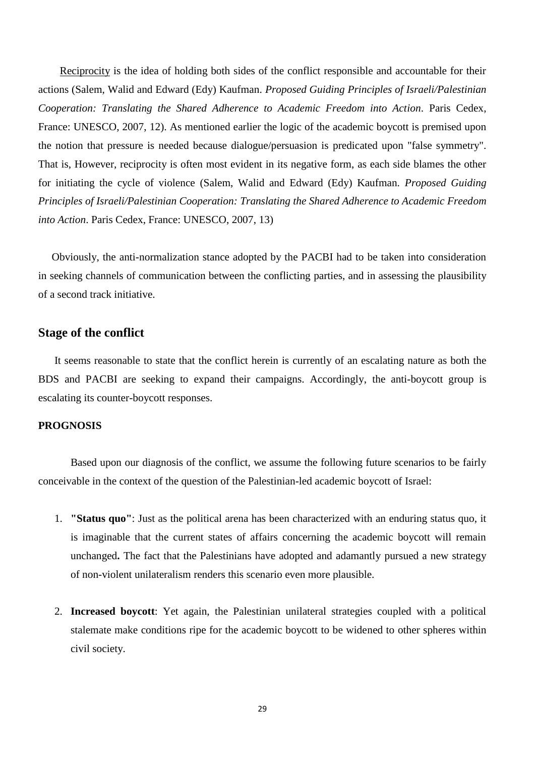Reciprocity is the idea of holding both sides of the conflict responsible and accountable for their actions (Salem, Walid and Edward (Edy) Kaufman. *Proposed Guiding Principles of Israeli/Palestinian Cooperation: Translating the Shared Adherence to Academic Freedom into Action*. Paris Cedex, France: UNESCO, 2007, 12). As mentioned earlier the logic of the academic boycott is premised upon the notion that pressure is needed because dialogue/persuasion is predicated upon "false symmetry". That is, However, reciprocity is often most evident in its negative form, as each side blames the other for initiating the cycle of violence (Salem, Walid and Edward (Edy) Kaufman. *Proposed Guiding Principles of Israeli/Palestinian Cooperation: Translating the Shared Adherence to Academic Freedom into Action*. Paris Cedex, France: UNESCO, 2007, 13)

 Obviously, the anti-normalization stance adopted by the PACBI had to be taken into consideration in seeking channels of communication between the conflicting parties, and in assessing the plausibility of a second track initiative.

# **Stage of the conflict**

 It seems reasonable to state that the conflict herein is currently of an escalating nature as both the BDS and PACBI are seeking to expand their campaigns. Accordingly, the anti-boycott group is escalating its counter-boycott responses.

## **PROGNOSIS**

Based upon our diagnosis of the conflict, we assume the following future scenarios to be fairly conceivable in the context of the question of the Palestinian-led academic boycott of Israel:

- 1. **"Status quo"**: Just as the political arena has been characterized with an enduring status quo, it is imaginable that the current states of affairs concerning the academic boycott will remain unchanged**.** The fact that the Palestinians have adopted and adamantly pursued a new strategy of non-violent unilateralism renders this scenario even more plausible.
- 2. **Increased boycott**: Yet again, the Palestinian unilateral strategies coupled with a political stalemate make conditions ripe for the academic boycott to be widened to other spheres within civil society.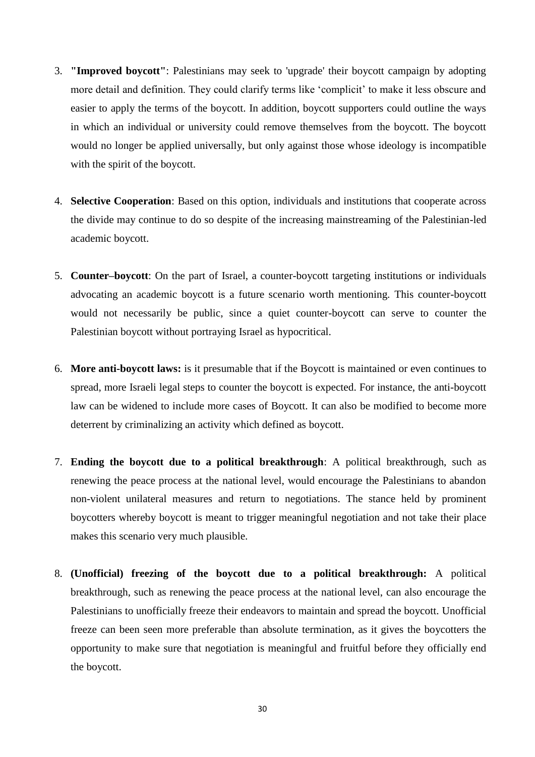- 3. **"Improved boycott"**: Palestinians may seek to 'upgrade' their boycott campaign by adopting more detail and definition. They could clarify terms like 'complicit' to make it less obscure and easier to apply the terms of the boycott. In addition, boycott supporters could outline the ways in which an individual or university could remove themselves from the boycott. The boycott would no longer be applied universally, but only against those whose ideology is incompatible with the spirit of the boycott.
- 4. **Selective Cooperation**: Based on this option, individuals and institutions that cooperate across the divide may continue to do so despite of the increasing mainstreaming of the Palestinian-led academic boycott.
- 5. **Counter–boycott**: On the part of Israel, a counter-boycott targeting institutions or individuals advocating an academic boycott is a future scenario worth mentioning. This counter-boycott would not necessarily be public, since a quiet counter-boycott can serve to counter the Palestinian boycott without portraying Israel as hypocritical.
- 6. **More anti-boycott laws:** is it presumable that if the Boycott is maintained or even continues to spread, more Israeli legal steps to counter the boycott is expected. For instance, the anti-boycott law can be widened to include more cases of Boycott. It can also be modified to become more deterrent by criminalizing an activity which defined as boycott.
- 7. **Ending the boycott due to a political breakthrough**: A political breakthrough, such as renewing the peace process at the national level, would encourage the Palestinians to abandon non-violent unilateral measures and return to negotiations. The stance held by prominent boycotters whereby boycott is meant to trigger meaningful negotiation and not take their place makes this scenario very much plausible.
- 8. **(Unofficial) freezing of the boycott due to a political breakthrough:** A political breakthrough, such as renewing the peace process at the national level, can also encourage the Palestinians to unofficially freeze their endeavors to maintain and spread the boycott. Unofficial freeze can been seen more preferable than absolute termination, as it gives the boycotters the opportunity to make sure that negotiation is meaningful and fruitful before they officially end the boycott.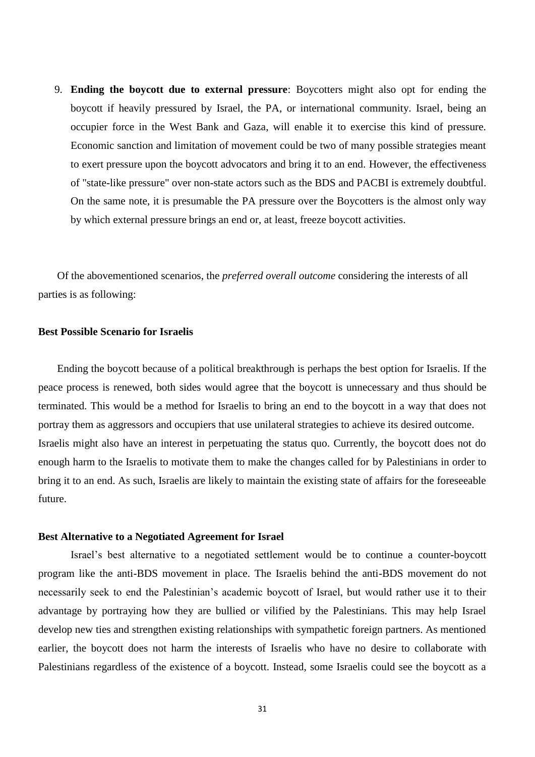9. **Ending the boycott due to external pressure**: Boycotters might also opt for ending the boycott if heavily pressured by Israel, the PA, or international community. Israel, being an occupier force in the West Bank and Gaza, will enable it to exercise this kind of pressure. Economic sanction and limitation of movement could be two of many possible strategies meant to exert pressure upon the boycott advocators and bring it to an end. However, the effectiveness of "state-like pressure" over non-state actors such as the BDS and PACBI is extremely doubtful. On the same note, it is presumable the PA pressure over the Boycotters is the almost only way by which external pressure brings an end or, at least, freeze boycott activities.

 Of the abovementioned scenarios, the *preferred overall outcome* considering the interests of all parties is as following:

## **Best Possible Scenario for Israelis**

 Ending the boycott because of a political breakthrough is perhaps the best option for Israelis. If the peace process is renewed, both sides would agree that the boycott is unnecessary and thus should be terminated. This would be a method for Israelis to bring an end to the boycott in a way that does not portray them as aggressors and occupiers that use unilateral strategies to achieve its desired outcome. Israelis might also have an interest in perpetuating the status quo. Currently, the boycott does not do enough harm to the Israelis to motivate them to make the changes called for by Palestinians in order to bring it to an end. As such, Israelis are likely to maintain the existing state of affairs for the foreseeable future.

#### **Best Alternative to a Negotiated Agreement for Israel**

Israel's best alternative to a negotiated settlement would be to continue a counter-boycott program like the anti-BDS movement in place. The Israelis behind the anti-BDS movement do not necessarily seek to end the Palestinian's academic boycott of Israel, but would rather use it to their advantage by portraying how they are bullied or vilified by the Palestinians. This may help Israel develop new ties and strengthen existing relationships with sympathetic foreign partners. As mentioned earlier, the boycott does not harm the interests of Israelis who have no desire to collaborate with Palestinians regardless of the existence of a boycott. Instead, some Israelis could see the boycott as a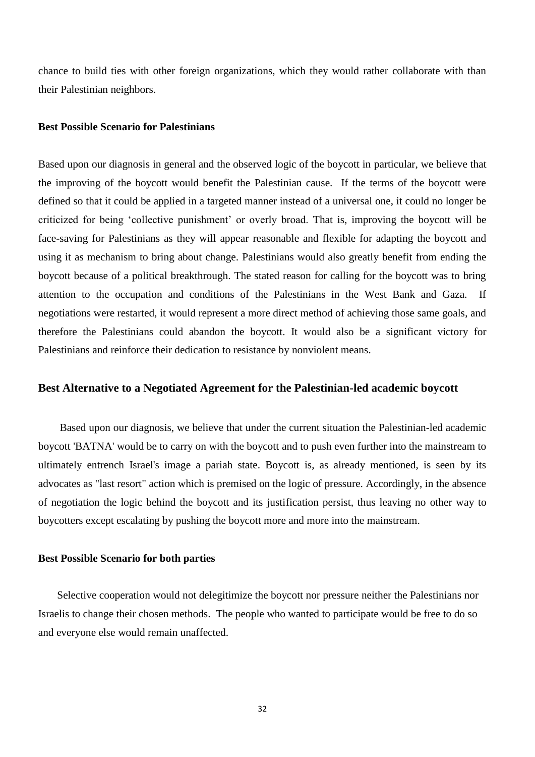chance to build ties with other foreign organizations, which they would rather collaborate with than their Palestinian neighbors.

## **Best Possible Scenario for Palestinians**

Based upon our diagnosis in general and the observed logic of the boycott in particular, we believe that the improving of the boycott would benefit the Palestinian cause. If the terms of the boycott were defined so that it could be applied in a targeted manner instead of a universal one, it could no longer be criticized for being 'collective punishment' or overly broad. That is, improving the boycott will be face-saving for Palestinians as they will appear reasonable and flexible for adapting the boycott and using it as mechanism to bring about change. Palestinians would also greatly benefit from ending the boycott because of a political breakthrough. The stated reason for calling for the boycott was to bring attention to the occupation and conditions of the Palestinians in the West Bank and Gaza. If negotiations were restarted, it would represent a more direct method of achieving those same goals, and therefore the Palestinians could abandon the boycott. It would also be a significant victory for Palestinians and reinforce their dedication to resistance by nonviolent means.

## **Best Alternative to a Negotiated Agreement for the Palestinian-led academic boycott**

 Based upon our diagnosis, we believe that under the current situation the Palestinian-led academic boycott 'BATNA' would be to carry on with the boycott and to push even further into the mainstream to ultimately entrench Israel's image a pariah state. Boycott is, as already mentioned, is seen by its advocates as "last resort" action which is premised on the logic of pressure. Accordingly, in the absence of negotiation the logic behind the boycott and its justification persist, thus leaving no other way to boycotters except escalating by pushing the boycott more and more into the mainstream.

#### **Best Possible Scenario for both parties**

 Selective cooperation would not delegitimize the boycott nor pressure neither the Palestinians nor Israelis to change their chosen methods. The people who wanted to participate would be free to do so and everyone else would remain unaffected.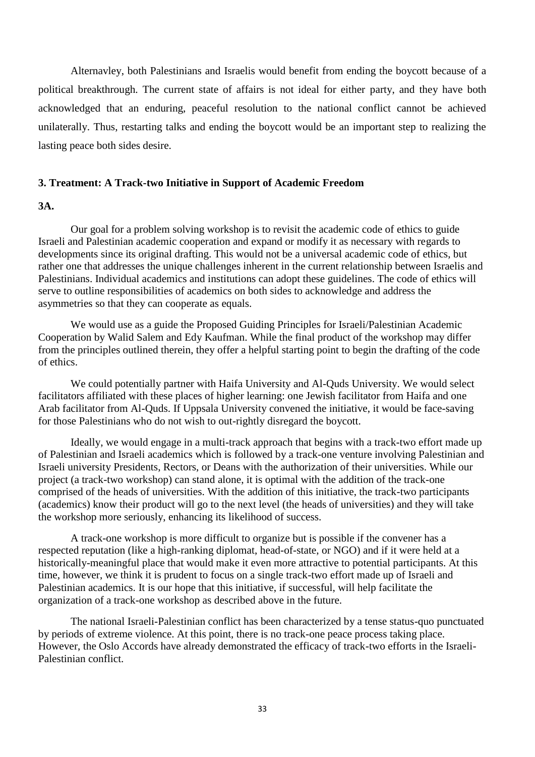Alternavley, both Palestinians and Israelis would benefit from ending the boycott because of a political breakthrough. The current state of affairs is not ideal for either party, and they have both acknowledged that an enduring, peaceful resolution to the national conflict cannot be achieved unilaterally. Thus, restarting talks and ending the boycott would be an important step to realizing the lasting peace both sides desire.

## **3. Treatment: A Track-two Initiative in Support of Academic Freedom**

# **3A.**

Our goal for a problem solving workshop is to revisit the academic code of ethics to guide Israeli and Palestinian academic cooperation and expand or modify it as necessary with regards to developments since its original drafting. This would not be a universal academic code of ethics, but rather one that addresses the unique challenges inherent in the current relationship between Israelis and Palestinians. Individual academics and institutions can adopt these guidelines. The code of ethics will serve to outline responsibilities of academics on both sides to acknowledge and address the asymmetries so that they can cooperate as equals.

We would use as a guide the Proposed Guiding Principles for Israeli/Palestinian Academic Cooperation by Walid Salem and Edy Kaufman. While the final product of the workshop may differ from the principles outlined therein, they offer a helpful starting point to begin the drafting of the code of ethics.

We could potentially partner with Haifa University and Al-Quds University. We would select facilitators affiliated with these places of higher learning: one Jewish facilitator from Haifa and one Arab facilitator from Al-Quds. If Uppsala University convened the initiative, it would be face-saving for those Palestinians who do not wish to out-rightly disregard the boycott.

Ideally, we would engage in a multi-track approach that begins with a track-two effort made up of Palestinian and Israeli academics which is followed by a track-one venture involving Palestinian and Israeli university Presidents, Rectors, or Deans with the authorization of their universities. While our project (a track-two workshop) can stand alone, it is optimal with the addition of the track-one comprised of the heads of universities. With the addition of this initiative, the track-two participants (academics) know their product will go to the next level (the heads of universities) and they will take the workshop more seriously, enhancing its likelihood of success.

A track-one workshop is more difficult to organize but is possible if the convener has a respected reputation (like a high-ranking diplomat, head-of-state, or NGO) and if it were held at a historically-meaningful place that would make it even more attractive to potential participants. At this time, however, we think it is prudent to focus on a single track-two effort made up of Israeli and Palestinian academics. It is our hope that this initiative, if successful, will help facilitate the organization of a track-one workshop as described above in the future.

The national Israeli-Palestinian conflict has been characterized by a tense status-quo punctuated by periods of extreme violence. At this point, there is no track-one peace process taking place. However, the Oslo Accords have already demonstrated the efficacy of track-two efforts in the Israeli-Palestinian conflict.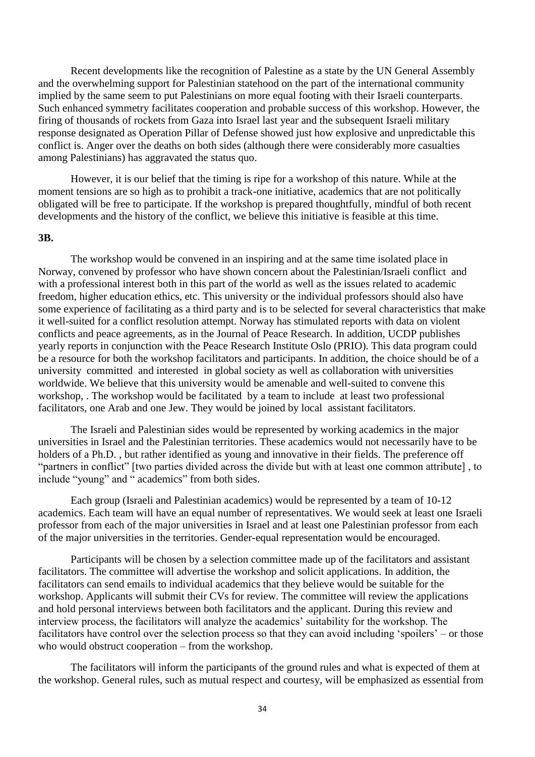Recent developments like the recognition of Palestine as a state by the UN General Assembly and the overwhelming support for Palestinian statehood on the part of the international community implied by the same seem to put Palestinians on more equal footing with their Israeli counterparts. Such enhanced symmetry facilitates cooperation and probable success of this workshop. However, the firing of thousands of rockets from Gaza into Israel last year and the subsequent Israeli military response designated as Operation Pillar of Defense showed just how explosive and unpredictable this conflict is. Anger over the deaths on both sides (although there were considerably more casualties among Palestinians) has aggravated the status quo.

However, it is our belief that the timing is ripe for a workshop of this nature. While at the moment tensions are so high as to prohibit a track-one initiative, academics that are not politically obligated will be free to participate. If the workshop is prepared thoughtfully, mindful of both recent developments and the history of the conflict, we believe this initiative is feasible at this time.

#### **3B.**

The workshop would be convened in an inspiring and at the same time isolated place in Norway, convened by professor who have shown concern about the Palestinian/Israeli conflict and with a professional interest both in this part of the world as well as the issues related to academic freedom, higher education ethics, etc. This university or the individual professors should also have some experience of facilitating as a third party and is to be selected for several characteristics that make it well-suited for a conflict resolution attempt. Norway has stimulated reports with data on violent conflicts and peace agreements, as in the Journal of Peace Research. In addition, UCDP publishes yearly reports in conjunction with the Peace Research Institute Oslo (PRIO). This data program could be a resource for both the workshop facilitators and participants. In addition, the choice should be of a university committed and interested in global society as well as collaboration with universities worldwide. We believe that this university would be amenable and well-suited to convene this workshop, . The workshop would be facilitated by a team to include at least two professional facilitators, one Arab and one Jew. They would be joined by local assistant facilitators.

The Israeli and Palestinian sides would be represented by working academics in the major universities in Israel and the Palestinian territories. These academics would not necessarily have to be holders of a Ph.D. , but rather identified as young and innovative in their fields. The preference off "partners in conflict" [two parties divided across the divide but with at least one common attribute] , to include "young" and " academics" from both sides.

Each group (Israeli and Palestinian academics) would be represented by a team of 10-12 academics. Each team will have an equal number of representatives. We would seek at least one Israeli professor from each of the major universities in Israel and at least one Palestinian professor from each of the major universities in the territories. Gender-equal representation would be encouraged.

Participants will be chosen by a selection committee made up of the facilitators and assistant facilitators. The committee will advertise the workshop and solicit applications. In addition, the facilitators can send emails to individual academics that they believe would be suitable for the workshop. Applicants will submit their CVs for review. The committee will review the applications and hold personal interviews between both facilitators and the applicant. During this review and interview process, the facilitators will analyze the academics' suitability for the workshop. The facilitators have control over the selection process so that they can avoid including 'spoilers' – or those who would obstruct cooperation – from the workshop.

The facilitators will inform the participants of the ground rules and what is expected of them at the workshop. General rules, such as mutual respect and courtesy, will be emphasized as essential from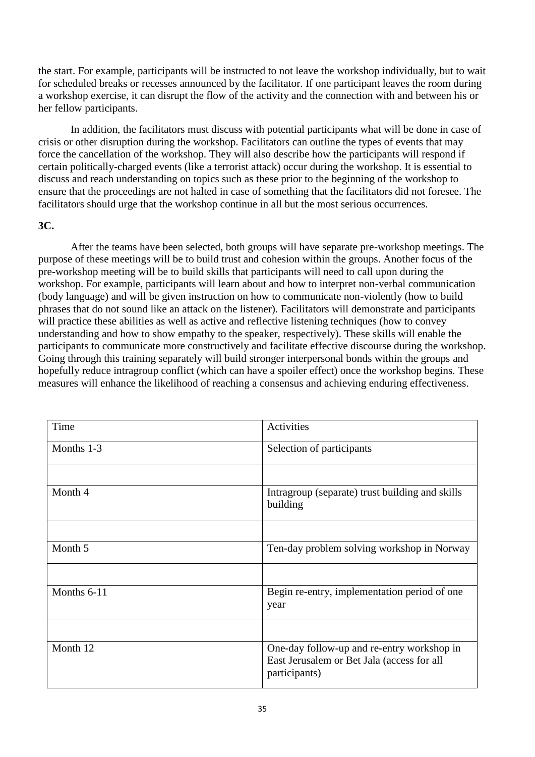the start. For example, participants will be instructed to not leave the workshop individually, but to wait for scheduled breaks or recesses announced by the facilitator. If one participant leaves the room during a workshop exercise, it can disrupt the flow of the activity and the connection with and between his or her fellow participants.

In addition, the facilitators must discuss with potential participants what will be done in case of crisis or other disruption during the workshop. Facilitators can outline the types of events that may force the cancellation of the workshop. They will also describe how the participants will respond if certain politically-charged events (like a terrorist attack) occur during the workshop. It is essential to discuss and reach understanding on topics such as these prior to the beginning of the workshop to ensure that the proceedings are not halted in case of something that the facilitators did not foresee. The facilitators should urge that the workshop continue in all but the most serious occurrences.

# **3C.**

After the teams have been selected, both groups will have separate pre-workshop meetings. The purpose of these meetings will be to build trust and cohesion within the groups. Another focus of the pre-workshop meeting will be to build skills that participants will need to call upon during the workshop. For example, participants will learn about and how to interpret non-verbal communication (body language) and will be given instruction on how to communicate non-violently (how to build phrases that do not sound like an attack on the listener). Facilitators will demonstrate and participants will practice these abilities as well as active and reflective listening techniques (how to convey understanding and how to show empathy to the speaker, respectively). These skills will enable the participants to communicate more constructively and facilitate effective discourse during the workshop. Going through this training separately will build stronger interpersonal bonds within the groups and hopefully reduce intragroup conflict (which can have a spoiler effect) once the workshop begins. These measures will enhance the likelihood of reaching a consensus and achieving enduring effectiveness.

| Time        | Activities                                                                                                |
|-------------|-----------------------------------------------------------------------------------------------------------|
| Months 1-3  | Selection of participants                                                                                 |
|             |                                                                                                           |
| Month 4     | Intragroup (separate) trust building and skills<br>building                                               |
|             |                                                                                                           |
| Month 5     | Ten-day problem solving workshop in Norway                                                                |
|             |                                                                                                           |
| Months 6-11 | Begin re-entry, implementation period of one<br>year                                                      |
|             |                                                                                                           |
| Month 12    | One-day follow-up and re-entry workshop in<br>East Jerusalem or Bet Jala (access for all<br>participants) |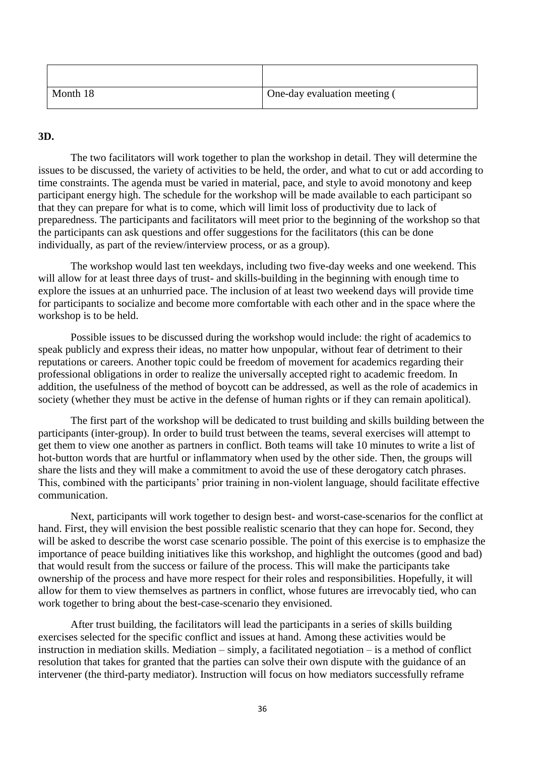| Month 18 | One-day evaluation meeting ( |
|----------|------------------------------|

## **3D.**

The two facilitators will work together to plan the workshop in detail. They will determine the issues to be discussed, the variety of activities to be held, the order, and what to cut or add according to time constraints. The agenda must be varied in material, pace, and style to avoid monotony and keep participant energy high. The schedule for the workshop will be made available to each participant so that they can prepare for what is to come, which will limit loss of productivity due to lack of preparedness. The participants and facilitators will meet prior to the beginning of the workshop so that the participants can ask questions and offer suggestions for the facilitators (this can be done individually, as part of the review/interview process, or as a group).

The workshop would last ten weekdays, including two five-day weeks and one weekend. This will allow for at least three days of trust- and skills-building in the beginning with enough time to explore the issues at an unhurried pace. The inclusion of at least two weekend days will provide time for participants to socialize and become more comfortable with each other and in the space where the workshop is to be held.

Possible issues to be discussed during the workshop would include: the right of academics to speak publicly and express their ideas, no matter how unpopular, without fear of detriment to their reputations or careers. Another topic could be freedom of movement for academics regarding their professional obligations in order to realize the universally accepted right to academic freedom. In addition, the usefulness of the method of boycott can be addressed, as well as the role of academics in society (whether they must be active in the defense of human rights or if they can remain apolitical).

The first part of the workshop will be dedicated to trust building and skills building between the participants (inter-group). In order to build trust between the teams, several exercises will attempt to get them to view one another as partners in conflict. Both teams will take 10 minutes to write a list of hot-button words that are hurtful or inflammatory when used by the other side. Then, the groups will share the lists and they will make a commitment to avoid the use of these derogatory catch phrases. This, combined with the participants' prior training in non-violent language, should facilitate effective communication.

Next, participants will work together to design best- and worst-case-scenarios for the conflict at hand. First, they will envision the best possible realistic scenario that they can hope for. Second, they will be asked to describe the worst case scenario possible. The point of this exercise is to emphasize the importance of peace building initiatives like this workshop, and highlight the outcomes (good and bad) that would result from the success or failure of the process. This will make the participants take ownership of the process and have more respect for their roles and responsibilities. Hopefully, it will allow for them to view themselves as partners in conflict, whose futures are irrevocably tied, who can work together to bring about the best-case-scenario they envisioned.

After trust building, the facilitators will lead the participants in a series of skills building exercises selected for the specific conflict and issues at hand. Among these activities would be instruction in mediation skills. Mediation – simply, a facilitated negotiation – is a method of conflict resolution that takes for granted that the parties can solve their own dispute with the guidance of an intervener (the third-party mediator). Instruction will focus on how mediators successfully reframe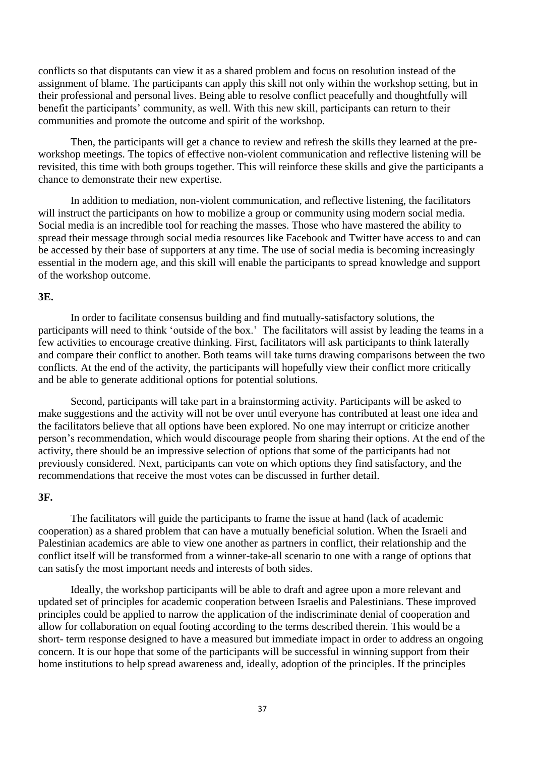conflicts so that disputants can view it as a shared problem and focus on resolution instead of the assignment of blame. The participants can apply this skill not only within the workshop setting, but in their professional and personal lives. Being able to resolve conflict peacefully and thoughtfully will benefit the participants' community, as well. With this new skill, participants can return to their communities and promote the outcome and spirit of the workshop.

Then, the participants will get a chance to review and refresh the skills they learned at the preworkshop meetings. The topics of effective non-violent communication and reflective listening will be revisited, this time with both groups together. This will reinforce these skills and give the participants a chance to demonstrate their new expertise.

In addition to mediation, non-violent communication, and reflective listening, the facilitators will instruct the participants on how to mobilize a group or community using modern social media. Social media is an incredible tool for reaching the masses. Those who have mastered the ability to spread their message through social media resources like Facebook and Twitter have access to and can be accessed by their base of supporters at any time. The use of social media is becoming increasingly essential in the modern age, and this skill will enable the participants to spread knowledge and support of the workshop outcome.

## **3E.**

In order to facilitate consensus building and find mutually-satisfactory solutions, the participants will need to think 'outside of the box.' The facilitators will assist by leading the teams in a few activities to encourage creative thinking. First, facilitators will ask participants to think laterally and compare their conflict to another. Both teams will take turns drawing comparisons between the two conflicts. At the end of the activity, the participants will hopefully view their conflict more critically and be able to generate additional options for potential solutions.

Second, participants will take part in a brainstorming activity. Participants will be asked to make suggestions and the activity will not be over until everyone has contributed at least one idea and the facilitators believe that all options have been explored. No one may interrupt or criticize another person's recommendation, which would discourage people from sharing their options. At the end of the activity, there should be an impressive selection of options that some of the participants had not previously considered. Next, participants can vote on which options they find satisfactory, and the recommendations that receive the most votes can be discussed in further detail.

## **3F.**

The facilitators will guide the participants to frame the issue at hand (lack of academic cooperation) as a shared problem that can have a mutually beneficial solution. When the Israeli and Palestinian academics are able to view one another as partners in conflict, their relationship and the conflict itself will be transformed from a winner-take-all scenario to one with a range of options that can satisfy the most important needs and interests of both sides.

Ideally, the workshop participants will be able to draft and agree upon a more relevant and updated set of principles for academic cooperation between Israelis and Palestinians. These improved principles could be applied to narrow the application of the indiscriminate denial of cooperation and allow for collaboration on equal footing according to the terms described therein. This would be a short- term response designed to have a measured but immediate impact in order to address an ongoing concern. It is our hope that some of the participants will be successful in winning support from their home institutions to help spread awareness and, ideally, adoption of the principles. If the principles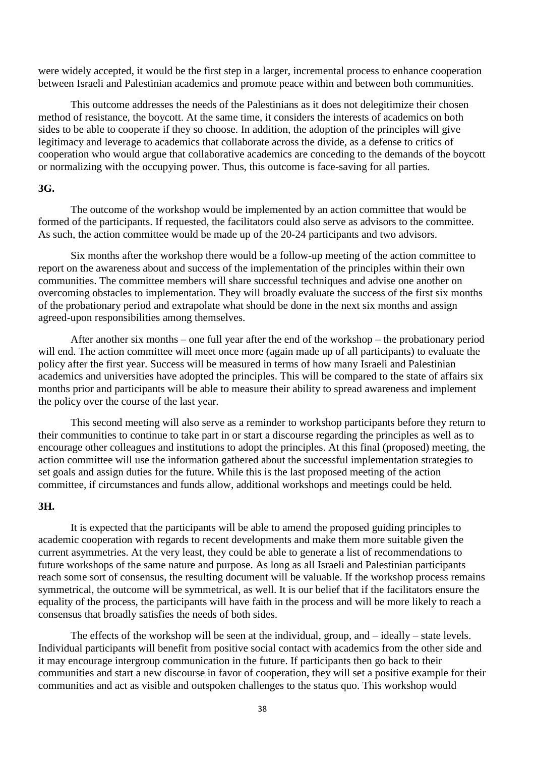were widely accepted, it would be the first step in a larger, incremental process to enhance cooperation between Israeli and Palestinian academics and promote peace within and between both communities.

This outcome addresses the needs of the Palestinians as it does not delegitimize their chosen method of resistance, the boycott. At the same time, it considers the interests of academics on both sides to be able to cooperate if they so choose. In addition, the adoption of the principles will give legitimacy and leverage to academics that collaborate across the divide, as a defense to critics of cooperation who would argue that collaborative academics are conceding to the demands of the boycott or normalizing with the occupying power. Thus, this outcome is face-saving for all parties.

## **3G.**

The outcome of the workshop would be implemented by an action committee that would be formed of the participants. If requested, the facilitators could also serve as advisors to the committee. As such, the action committee would be made up of the 20-24 participants and two advisors.

Six months after the workshop there would be a follow-up meeting of the action committee to report on the awareness about and success of the implementation of the principles within their own communities. The committee members will share successful techniques and advise one another on overcoming obstacles to implementation. They will broadly evaluate the success of the first six months of the probationary period and extrapolate what should be done in the next six months and assign agreed-upon responsibilities among themselves.

After another six months – one full year after the end of the workshop – the probationary period will end. The action committee will meet once more (again made up of all participants) to evaluate the policy after the first year. Success will be measured in terms of how many Israeli and Palestinian academics and universities have adopted the principles. This will be compared to the state of affairs six months prior and participants will be able to measure their ability to spread awareness and implement the policy over the course of the last year.

This second meeting will also serve as a reminder to workshop participants before they return to their communities to continue to take part in or start a discourse regarding the principles as well as to encourage other colleagues and institutions to adopt the principles. At this final (proposed) meeting, the action committee will use the information gathered about the successful implementation strategies to set goals and assign duties for the future. While this is the last proposed meeting of the action committee, if circumstances and funds allow, additional workshops and meetings could be held.

## **3H.**

It is expected that the participants will be able to amend the proposed guiding principles to academic cooperation with regards to recent developments and make them more suitable given the current asymmetries. At the very least, they could be able to generate a list of recommendations to future workshops of the same nature and purpose. As long as all Israeli and Palestinian participants reach some sort of consensus, the resulting document will be valuable. If the workshop process remains symmetrical, the outcome will be symmetrical, as well. It is our belief that if the facilitators ensure the equality of the process, the participants will have faith in the process and will be more likely to reach a consensus that broadly satisfies the needs of both sides.

The effects of the workshop will be seen at the individual, group, and – ideally – state levels. Individual participants will benefit from positive social contact with academics from the other side and it may encourage intergroup communication in the future. If participants then go back to their communities and start a new discourse in favor of cooperation, they will set a positive example for their communities and act as visible and outspoken challenges to the status quo. This workshop would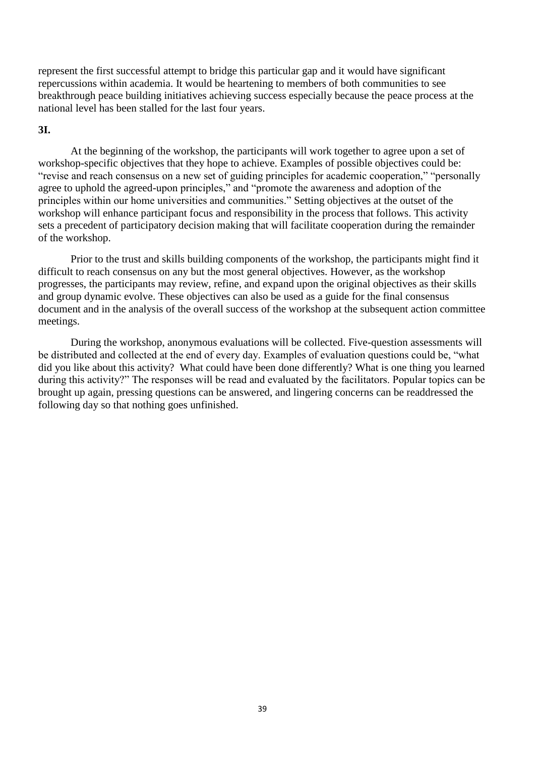represent the first successful attempt to bridge this particular gap and it would have significant repercussions within academia. It would be heartening to members of both communities to see breakthrough peace building initiatives achieving success especially because the peace process at the national level has been stalled for the last four years.

## **3I.**

At the beginning of the workshop, the participants will work together to agree upon a set of workshop-specific objectives that they hope to achieve. Examples of possible objectives could be: "revise and reach consensus on a new set of guiding principles for academic cooperation," "personally agree to uphold the agreed-upon principles," and "promote the awareness and adoption of the principles within our home universities and communities." Setting objectives at the outset of the workshop will enhance participant focus and responsibility in the process that follows. This activity sets a precedent of participatory decision making that will facilitate cooperation during the remainder of the workshop.

Prior to the trust and skills building components of the workshop, the participants might find it difficult to reach consensus on any but the most general objectives. However, as the workshop progresses, the participants may review, refine, and expand upon the original objectives as their skills and group dynamic evolve. These objectives can also be used as a guide for the final consensus document and in the analysis of the overall success of the workshop at the subsequent action committee meetings.

During the workshop, anonymous evaluations will be collected. Five-question assessments will be distributed and collected at the end of every day. Examples of evaluation questions could be, "what did you like about this activity? What could have been done differently? What is one thing you learned during this activity?" The responses will be read and evaluated by the facilitators. Popular topics can be brought up again, pressing questions can be answered, and lingering concerns can be readdressed the following day so that nothing goes unfinished.